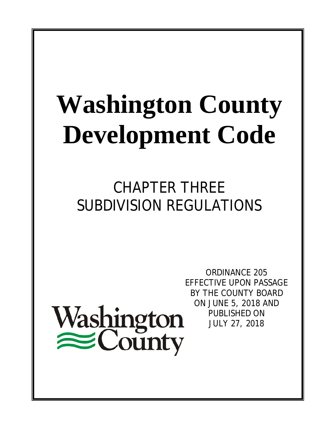# **Washington County Development Code**

CHAPTER THREE SUBDIVISION REGULATIONS

Washington<br>
County

ORDINANCE 205 EFFECTIVE UPON PASSAGE BY THE COUNTY BOARD ON JUNE 5, 2018 AND PUBLISHED ON JULY 27, 2018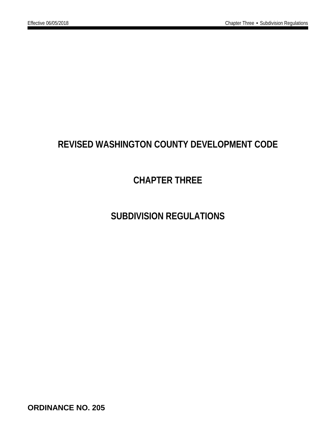## **REVISED WASHINGTON COUNTY DEVELOPMENT CODE**

## **CHAPTER THREE**

## **SUBDIVISION REGULATIONS**

**ORDINANCE NO. 205**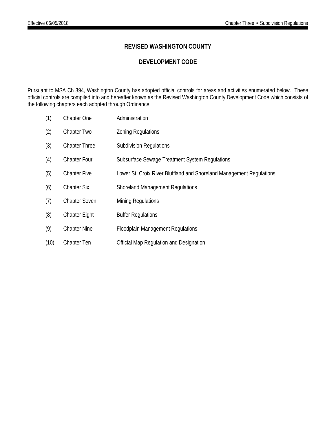## **REVISED WASHINGTON COUNTY**

## **DEVELOPMENT CODE**

Pursuant to MSA Ch 394, Washington County has adopted official controls for areas and activities enumerated below. These official controls are compiled into and hereafter known as the Revised Washington County Development Code which consists of the following chapters each adopted through Ordinance.

| (1)  | Chapter One          | Administration                                                       |
|------|----------------------|----------------------------------------------------------------------|
| (2)  | Chapter Two          | <b>Zoning Regulations</b>                                            |
| (3)  | <b>Chapter Three</b> | <b>Subdivision Regulations</b>                                       |
| (4)  | <b>Chapter Four</b>  | Subsurface Sewage Treatment System Regulations                       |
| (5)  | <b>Chapter Five</b>  | Lower St. Croix River Bluffland and Shoreland Management Regulations |
| (6)  | <b>Chapter Six</b>   | <b>Shoreland Management Regulations</b>                              |
| (7)  | <b>Chapter Seven</b> | <b>Mining Regulations</b>                                            |
| (8)  | <b>Chapter Eight</b> | <b>Buffer Regulations</b>                                            |
| (9)  | <b>Chapter Nine</b>  | <b>Floodplain Management Regulations</b>                             |
| (10) | Chapter Ten          | Official Map Regulation and Designation                              |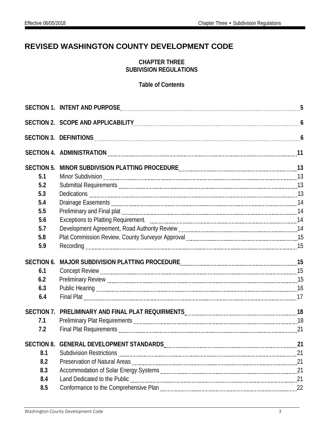## **REVISED WASHINGTON COUNTY DEVELOPMENT CODE**

## **CHAPTER THREE SUBIVISION REGULATIONS**

## **Table of Contents**

| <b>SECTION 5.</b>                        |    |
|------------------------------------------|----|
| 5.1                                      |    |
| 5.2                                      |    |
| 5.3                                      |    |
| 5.4                                      |    |
| 5.5                                      |    |
| 5.6                                      |    |
| 5.7                                      |    |
| 5.8                                      |    |
| 5.9                                      |    |
| <b>SECTION 6.</b>                        |    |
| 6.1                                      |    |
| 6.2                                      |    |
| 6.3                                      |    |
| 6.4                                      |    |
| <b>SECTION 7.</b>                        |    |
| 7.1                                      |    |
| 7.2                                      |    |
| SECTION 8. GENERAL DEVELOPMENT STANDARDS | 21 |
| 8.1                                      |    |
| 8.2                                      |    |
| 8.3                                      |    |
| 8.4                                      |    |
| 8.5                                      |    |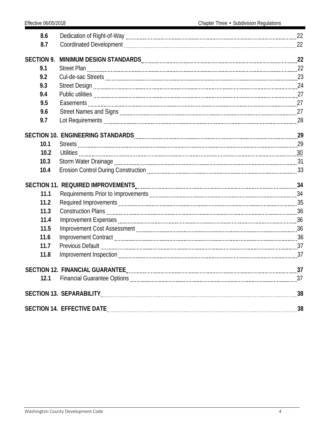| 8.6               |                                                                                                               |  |
|-------------------|---------------------------------------------------------------------------------------------------------------|--|
| 8.7               |                                                                                                               |  |
| <b>SECTION 9.</b> |                                                                                                               |  |
| 9.1               |                                                                                                               |  |
| 9.2               |                                                                                                               |  |
| 9.3               |                                                                                                               |  |
| 9.4               |                                                                                                               |  |
| 9.5               |                                                                                                               |  |
| 9.6               |                                                                                                               |  |
| 9.7               |                                                                                                               |  |
|                   |                                                                                                               |  |
| 10.1              |                                                                                                               |  |
| 10.2              |                                                                                                               |  |
| 10.3              |                                                                                                               |  |
| 10.4              |                                                                                                               |  |
|                   | SECTION 11. REQUIRED IMPROVEMENTS CONTENT AND THE SECTION 11. REQUIRED IMPROVEMENTS CONTENT AND THE SECTION 1 |  |
| 11.1              | Requirements Prior to Improvements [11,120] and the content of the Prior of August 24                         |  |
| 11.2              |                                                                                                               |  |
| 11.3              |                                                                                                               |  |
| 11.4              |                                                                                                               |  |
| 11.5              |                                                                                                               |  |
| 11.6              |                                                                                                               |  |
| 11.7              |                                                                                                               |  |
| 11.8              |                                                                                                               |  |
|                   |                                                                                                               |  |
| 12.1              |                                                                                                               |  |
|                   |                                                                                                               |  |
|                   |                                                                                                               |  |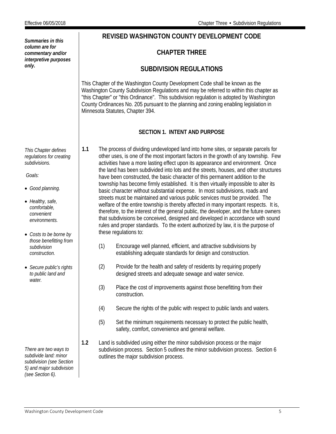<span id="page-5-0"></span>

| Summaries in this                                                                                                                                                                                                                                                                                                  | REVISED WASHINGTON COUNTY DEVELOPMENT CODE                                                                                                                                                                                                                                                                                                                                                                                                                                                                                                                                                                                                                                                                                                                                                                                                                                                                                                                                                                                                                                                                                                                                                                                                                                                                                                                                                                                                                                                                                                                                                                                                                                                         |  |  |  |  |  |
|--------------------------------------------------------------------------------------------------------------------------------------------------------------------------------------------------------------------------------------------------------------------------------------------------------------------|----------------------------------------------------------------------------------------------------------------------------------------------------------------------------------------------------------------------------------------------------------------------------------------------------------------------------------------------------------------------------------------------------------------------------------------------------------------------------------------------------------------------------------------------------------------------------------------------------------------------------------------------------------------------------------------------------------------------------------------------------------------------------------------------------------------------------------------------------------------------------------------------------------------------------------------------------------------------------------------------------------------------------------------------------------------------------------------------------------------------------------------------------------------------------------------------------------------------------------------------------------------------------------------------------------------------------------------------------------------------------------------------------------------------------------------------------------------------------------------------------------------------------------------------------------------------------------------------------------------------------------------------------------------------------------------------------|--|--|--|--|--|
| column are for<br>commentary and/or<br>interpretive purposes                                                                                                                                                                                                                                                       | <b>CHAPTER THREE</b>                                                                                                                                                                                                                                                                                                                                                                                                                                                                                                                                                                                                                                                                                                                                                                                                                                                                                                                                                                                                                                                                                                                                                                                                                                                                                                                                                                                                                                                                                                                                                                                                                                                                               |  |  |  |  |  |
| only.                                                                                                                                                                                                                                                                                                              | <b>SUBDIVISION REGULATIONS</b>                                                                                                                                                                                                                                                                                                                                                                                                                                                                                                                                                                                                                                                                                                                                                                                                                                                                                                                                                                                                                                                                                                                                                                                                                                                                                                                                                                                                                                                                                                                                                                                                                                                                     |  |  |  |  |  |
|                                                                                                                                                                                                                                                                                                                    | This Chapter of the Washington County Development Code shall be known as the<br>Washington County Subdivision Regulations and may be referred to within this chapter as<br>"this Chapter" or "this Ordinance". This subdivision regulation is adopted by Washington<br>County Ordinances No. 205 pursuant to the planning and zoning enabling legislation in<br>Minnesota Statutes, Chapter 394.                                                                                                                                                                                                                                                                                                                                                                                                                                                                                                                                                                                                                                                                                                                                                                                                                                                                                                                                                                                                                                                                                                                                                                                                                                                                                                   |  |  |  |  |  |
|                                                                                                                                                                                                                                                                                                                    | <b>SECTION 1. INTENT AND PURPOSE</b>                                                                                                                                                                                                                                                                                                                                                                                                                                                                                                                                                                                                                                                                                                                                                                                                                                                                                                                                                                                                                                                                                                                                                                                                                                                                                                                                                                                                                                                                                                                                                                                                                                                               |  |  |  |  |  |
| This Chapter defines<br>regulations for creating<br>subdivisions.<br>Goals:<br>• Good planning.<br>• Healthy, safe,<br>comfortable,<br>convenient<br>environments.<br>• Costs to be borne by<br>those benefitting from<br>subdivision<br>construction.<br>• Secure public's rights<br>to public land and<br>water. | 1.1<br>The process of dividing undeveloped land into home sites, or separate parcels for<br>other uses, is one of the most important factors in the growth of any township. Few<br>activities have a more lasting effect upon its appearance and environment. Once<br>the land has been subdivided into lots and the streets, houses, and other structures<br>have been constructed, the basic character of this permanent addition to the<br>township has become firmly established. It is then virtually impossible to alter its<br>basic character without substantial expense. In most subdivisions, roads and<br>streets must be maintained and various public services must be provided. The<br>welfare of the entire township is thereby affected in many important respects. It is,<br>therefore, to the interest of the general public, the developer, and the future owners<br>that subdivisions be conceived, designed and developed in accordance with sound<br>rules and proper standards. To the extent authorized by law, it is the purpose of<br>these regulations to:<br>(1)<br>Encourage well planned, efficient, and attractive subdivisions by<br>establishing adequate standards for design and construction.<br>(2)<br>Provide for the health and safety of residents by requiring properly<br>designed streets and adequate sewage and water service.<br>(3)<br>Place the cost of improvements against those benefitting from their<br>construction.<br>Secure the rights of the public with respect to public lands and waters.<br>(4)<br>(5)<br>Set the minimum requirements necessary to protect the public health,<br>safety, comfort, convenience and general welfare. |  |  |  |  |  |
| There are two ways to<br>subdivide land: minor<br>subdivision (see Section<br>5) and major subdivision<br>(see Section 6).                                                                                                                                                                                         | 1.2<br>Land is subdivided using either the minor subdivision process or the major<br>subdivision process. Section 5 outlines the minor subdivision process. Section 6<br>outlines the major subdivision process.                                                                                                                                                                                                                                                                                                                                                                                                                                                                                                                                                                                                                                                                                                                                                                                                                                                                                                                                                                                                                                                                                                                                                                                                                                                                                                                                                                                                                                                                                   |  |  |  |  |  |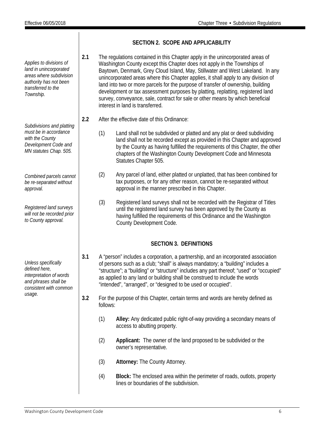*Applies to divisions of land in unincorporated areas where subdivision authority has not been transferred to the Township. Subdivisions and platting must be in accordance with the County Development Code and MN statutes Chap. 505. Combined parcels cannot be re-separated without approval. Registered land surveys will not be recorded prior to County approval. Unless specifically defined here, interpretation of words and phrases shall be consistent with common usage.* follows:

> (4) **Block:** The enclosed area within the perimeter of roads, outlots, property lines or boundaries of the subdivision.

## **SECTION 2. SCOPE AND APPLICABILITY**

- <span id="page-6-0"></span>**2.1** The regulations contained in this Chapter apply in the unincorporated areas of Washington County except this Chapter does not apply in the Townships of Baytown, Denmark, Grey Cloud Island, May, Stillwater and West Lakeland. In any unincorporated areas where this Chapter applies, it shall apply to any division of land into two or more parcels for the purpose of transfer of ownership, building development or tax assessment purposes by platting, replatting, registered land survey, conveyance, sale, contract for sale or other means by which beneficial interest in land is transferred.
- **2.2** After the effective date of this Ordinance:
	- (1) Land shall not be subdivided or platted and any plat or deed subdividing land shall not be recorded except as provided in this Chapter and approved by the County as having fulfilled the requirements of this Chapter, the other chapters of the Washington County Development Code and Minnesota Statutes Chapter 505.
	- (2) Any parcel of land, either platted or unplatted, that has been combined for tax purposes, or for any other reason, cannot be re-separated without approval in the manner prescribed in this Chapter.
	- (3) Registered land surveys shall not be recorded with the Registrar of Titles until the registered land survey has been approved by the County as having fulfilled the requirements of this Ordinance and the Washington County Development Code.

## **SECTION 3. DEFINITIONS**

- <span id="page-6-1"></span>**3.1** A "person" includes a corporation, a partnership, and an incorporated association of persons such as a club; "shall" is always mandatory; a "building" includes a "structure"; a "building" or "structure" includes any part thereof; "used" or "occupied" as applied to any land or building shall be construed to include the words "intended", "arranged", or "designed to be used or occupied".
- **3.2** For the purpose of this Chapter, certain terms and words are hereby defined as
	- (1) **Alley:** Any dedicated public right-of-way providing a secondary means of access to abutting property.
	- (2) **Applicant:** The owner of the land proposed to be subdivided or the owner's representative.
	- (3) **Attorney:** The County Attorney.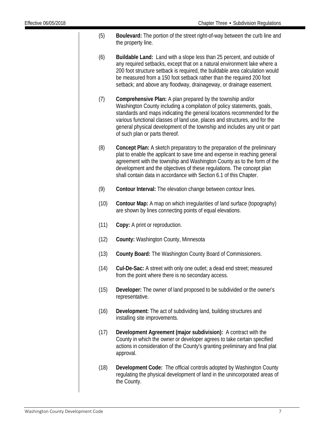- (5) **Boulevard:** The portion of the street right-of-way between the curb line and the property line.
- (6) **Buildable Land:** Land with a slope less than 25 percent, and outside of any required setbacks, except that on a natural environment lake where a 200 foot structure setback is required, the buildable area calculation would be measured from a 150 foot setback rather than the required 200 foot setback; and above any floodway, drainageway, or drainage easement.
- (7) **Comprehensive Plan:** A plan prepared by the township and/or Washington County including a compilation of policy statements, goals, standards and maps indicating the general locations recommended for the various functional classes of land use, places and structures, and for the general physical development of the township and includes any unit or part of such plan or parts thereof.
- (8) **Concept Plan:** A sketch preparatory to the preparation of the preliminary plat to enable the applicant to save time and expense in reaching general agreement with the township and Washington County as to the form of the development and the objectives of these regulations. The concept plan shall contain data in accordance with Section 6.1 of this Chapter.
- (9) **Contour Interval:** The elevation change between contour lines.
- (10) **Contour Map:** A map on which irregularities of land surface (topography) are shown by lines connecting points of equal elevations.
- (11) **Copy:** A print or reproduction.
- (12) **County:** Washington County, Minnesota
- (13) **County Board:** The Washington County Board of Commissioners.
- (14) **Cul-De-Sac:** A street with only one outlet; a dead end street; measured from the point where there is no secondary access.
- (15) **Developer:** The owner of land proposed to be subdivided or the owner's representative.
- (16) **Development:** The act of subdividing land, building structures and installing site improvements.
- (17) **Development Agreement (major subdivision):** A contract with the County in which the owner or developer agrees to take certain specified actions in consideration of the County's granting preliminary and final plat approval.
- (18) **Development Code:** The official controls adopted by Washington County regulating the physical development of land in the unincorporated areas of the County.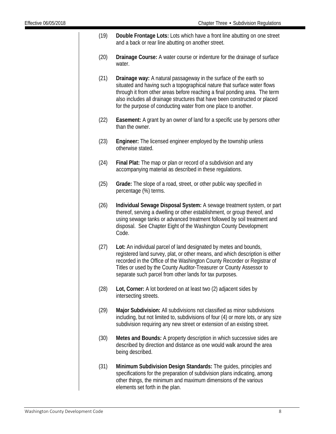- (19) **Double Frontage Lots:** Lots which have a front line abutting on one street and a back or rear line abutting on another street.
- (20) **Drainage Course:** A water course or indenture for the drainage of surface water.
- (21) **Drainage way:** A natural passageway in the surface of the earth so situated and having such a topographical nature that surface water flows through it from other areas before reaching a final ponding area. The term also includes all drainage structures that have been constructed or placed for the purpose of conducting water from one place to another.
- (22) **Easement:** A grant by an owner of land for a specific use by persons other than the owner.
- (23) **Engineer:** The licensed engineer employed by the township unless otherwise stated.
- (24) **Final Plat:** The map or plan or record of a subdivision and any accompanying material as described in these regulations.
- (25) **Grade:** The slope of a road, street, or other public way specified in percentage (%) terms.
- (26) **Individual Sewage Disposal System:** A sewage treatment system, or part thereof, serving a dwelling or other establishment, or group thereof, and using sewage tanks or advanced treatment followed by soil treatment and disposal. See Chapter Eight of the Washington County Development Code.
- (27) **Lot:** An individual parcel of land designated by metes and bounds, registered land survey, plat, or other means, and which description is either recorded in the Office of the Washington County Recorder or Registrar of Titles or used by the County Auditor-Treasurer or County Assessor to separate such parcel from other lands for tax purposes.
- (28) **Lot, Corner:** A lot bordered on at least two (2) adjacent sides by intersecting streets.
- (29) **Major Subdivision:** All subdivisions not classified as minor subdivisions including, but not limited to, subdivisions of four (4) or more lots, or any size subdivision requiring any new street or extension of an existing street.
- (30) **Metes and Bounds:** A property description in which successive sides are described by direction and distance as one would walk around the area being described.
- (31) **Minimum Subdivision Design Standards:** The guides, principles and specifications for the preparation of subdivision plans indicating, among other things, the minimum and maximum dimensions of the various elements set forth in the plan.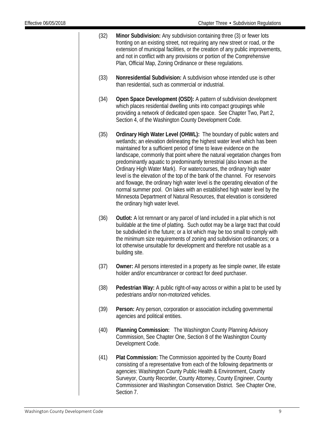- (32) **Minor Subdivision:** Any subdivision containing three (3) or fewer lots fronting on an existing street, not requiring any new street or road, or the extension of municipal facilities, or the creation of any public improvements, and not in conflict with any provisions or portion of the Comprehensive Plan, Official Map, Zoning Ordinance or these regulations.
- (33) **Nonresidential Subdivision:** A subdivision whose intended use is other than residential, such as commercial or industrial.
- (34) **Open Space Development (OSD):** A pattern of subdivision development which places residential dwelling units into compact groupings while providing a network of dedicated open space. See Chapter Two, Part 2, Section 4, of the Washington County Development Code.
- (35) **Ordinary High Water Level (OHWL):** The boundary of public waters and wetlands; an elevation delineating the highest water level which has been maintained for a sufficient period of time to leave evidence on the landscape, commonly that point where the natural vegetation changes from predominantly aquatic to predominantly terrestrial (also known as the Ordinary High Water Mark). For watercourses, the ordinary high water level is the elevation of the top of the bank of the channel. For reservoirs and flowage, the ordinary high water level is the operating elevation of the normal summer pool. On lakes with an established high water level by the Minnesota Department of Natural Resources, that elevation is considered the ordinary high water level.
- (36) **Outlot:** A lot remnant or any parcel of land included in a plat which is not buildable at the time of platting. Such outlot may be a large tract that could be subdivided in the future; or a lot which may be too small to comply with the minimum size requirements of zoning and subdivision ordinances; or a lot otherwise unsuitable for development and therefore not usable as a building site.
- (37) **Owner:** All persons interested in a property as fee simple owner, life estate holder and/or encumbrancer or contract for deed purchaser.
- (38) **Pedestrian Way:** A public right-of-way across or within a plat to be used by pedestrians and/or non-motorized vehicles.
- (39) **Person:** Any person, corporation or association including governmental agencies and political entities.
- (40) **Planning Commission:** The Washington County Planning Advisory Commission, See Chapter One, Section 8 of the Washington County Development Code.
- (41) **Plat Commission:** The Commission appointed by the County Board consisting of a representative from each of the following departments or agencies: Washington County Public Health & Environment, County Surveyor, County Recorder, County Attorney, County Engineer, County Commissioner and Washington Conservation District. See Chapter One, Section 7.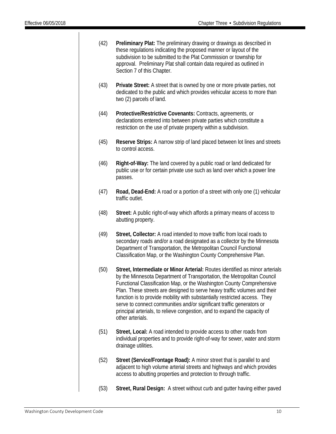- (42) **Preliminary Plat:** The preliminary drawing or drawings as described in these regulations indicating the proposed manner or layout of the subdivision to be submitted to the Plat Commission or township for approval. Preliminary Plat shall contain data required as outlined in Section 7 of this Chapter.
- (43) **Private Street:** A street that is owned by one or more private parties, not dedicated to the public and which provides vehicular access to more than two (2) parcels of land.
- (44) **Protective/Restrictive Covenants:** Contracts, agreements, or declarations entered into between private parties which constitute a restriction on the use of private property within a subdivision.
- (45) **Reserve Strips:** A narrow strip of land placed between lot lines and streets to control access.
- (46) **Right-of-Way:** The land covered by a public road or land dedicated for public use or for certain private use such as land over which a power line passes.
- (47) **Road, Dead-End:** A road or a portion of a street with only one (1) vehicular traffic outlet.
- (48) **Street:** A public right-of-way which affords a primary means of access to abutting property.
- (49) **Street, Collector:** A road intended to move traffic from local roads to secondary roads and/or a road designated as a collector by the Minnesota Department of Transportation, the Metropolitan Council Functional Classification Map, or the Washington County Comprehensive Plan.
- (50) **Street, Intermediate or Minor Arterial:** Routes identified as minor arterials by the Minnesota Department of Transportation, the Metropolitan Council Functional Classification Map, or the Washington County Comprehensive Plan. These streets are designed to serve heavy traffic volumes and their function is to provide mobility with substantially restricted access. They serve to connect communities and/or significant traffic generators or principal arterials, to relieve congestion, and to expand the capacity of other arterials.
- (51) **Street, Local:** A road intended to provide access to other roads from individual properties and to provide right-of-way for sewer, water and storm drainage utilities.
- (52) **Street (Service/Frontage Road):** A minor street that is parallel to and adjacent to high volume arterial streets and highways and which provides access to abutting properties and protection to through traffic.
- (53) **Street, Rural Design:** A street without curb and gutter having either paved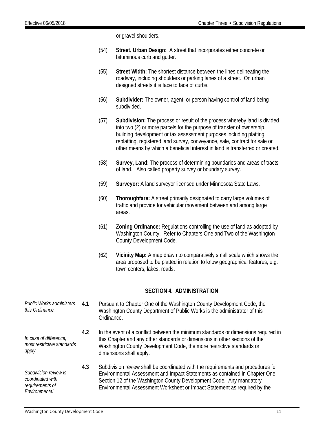or gravel shoulders.

- (54) **Street, Urban Design:** A street that incorporates either concrete or bituminous curb and gutter.
- (55) **Street Width:** The shortest distance between the lines delineating the roadway, including shoulders or parking lanes of a street. On urban designed streets it is face to face of curbs.
- (56) **Subdivider:** The owner, agent, or person having control of land being subdivided.
- (57) **Subdivision:** The process or result of the process whereby land is divided into two (2) or more parcels for the purpose of transfer of ownership, building development or tax assessment purposes including platting, replatting, registered land survey, conveyance, sale, contract for sale or other means by which a beneficial interest in land is transferred or created.
- (58) **Survey, Land:** The process of determining boundaries and areas of tracts of land. Also called property survey or boundary survey.
- (59) **Surveyor:** A land surveyor licensed under Minnesota State Laws.
- (60) **Thoroughfare:** A street primarily designated to carry large volumes of traffic and provide for vehicular movement between and among large areas.
- (61) **Zoning Ordinance:** Regulations controlling the use of land as adopted by Washington County. Refer to Chapters One and Two of the Washington County Development Code.
- (62) **Vicinity Map:** A map drawn to comparatively small scale which shows the area proposed to be platted in relation to know geographical features, e.g. town centers, lakes, roads.

#### **SECTION 4. ADMINISTRATION**

- *Public Works administers this Ordinance.*  **4.1** Pursuant to Chapter One of the Washington County Development Code, the Washington County Department of Public Works is the administrator of this Ordinance.
- *most restrictive standards*  **4.2** In the event of a conflict between the minimum standards or dimensions required in this Chapter and any other standards or dimensions in other sections of the Washington County Development Code, the more restrictive standards or dimensions shall apply.
- *Subdivision review is*  **4.3** Subdivision review shall be coordinated with the requirements and procedures for Environmental Assessment and Impact Statements as contained in Chapter One, Section 12 of the Washington County Development Code. Any mandatory Environmental Assessment Worksheet or Impact Statement as required by the

*In case of difference,* 

*coordinated with requirements of Environmental* 

*apply.*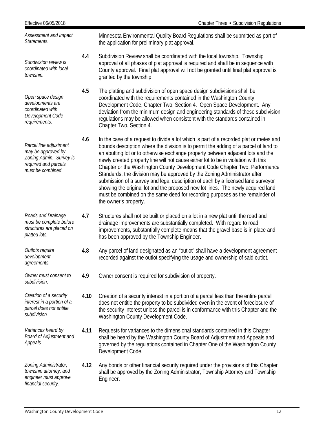| Effective 06/05/2018                                                                                                 |      | Chapter Three • Subdivision Regulations                                                                                                                                                                                                                                                                                                                                                                                                                                                                                                                                                                                                                                                                                                                                                             |
|----------------------------------------------------------------------------------------------------------------------|------|-----------------------------------------------------------------------------------------------------------------------------------------------------------------------------------------------------------------------------------------------------------------------------------------------------------------------------------------------------------------------------------------------------------------------------------------------------------------------------------------------------------------------------------------------------------------------------------------------------------------------------------------------------------------------------------------------------------------------------------------------------------------------------------------------------|
| Assessment and Impact<br>Statements.                                                                                 |      | Minnesota Environmental Quality Board Regulations shall be submitted as part of<br>the application for preliminary plat approval.                                                                                                                                                                                                                                                                                                                                                                                                                                                                                                                                                                                                                                                                   |
| Subdivision review is<br>coordinated with local<br>township.                                                         | 4.4  | Subdivision Review shall be coordinated with the local township. Township<br>approval of all phases of plat approval is required and shall be in sequence with<br>County approval. Final plat approval will not be granted until final plat approval is<br>granted by the township.                                                                                                                                                                                                                                                                                                                                                                                                                                                                                                                 |
| Open space design<br>developments are<br>coordinated with<br>Development Code<br>requirements.                       | 4.5  | The platting and subdivision of open space design subdivisions shall be<br>coordinated with the requirements contained in the Washington County<br>Development Code, Chapter Two, Section 4. Open Space Development. Any<br>deviation from the minimum design and engineering standards of these subdivision<br>regulations may be allowed when consistent with the standards contained in<br>Chapter Two, Section 4.                                                                                                                                                                                                                                                                                                                                                                               |
| Parcel line adjustment<br>may be approved by<br>Zoning Admin. Survey is<br>required and parcels<br>must be combined. | 4.6  | In the case of a request to divide a lot which is part of a recorded plat or metes and<br>bounds description where the division is to permit the adding of a parcel of land to<br>an abutting lot or to otherwise exchange property between adjacent lots and the<br>newly created property line will not cause either lot to be in violation with this<br>Chapter or the Washington County Development Code Chapter Two, Performance<br>Standards, the division may be approved by the Zoning Administrator after<br>submission of a survey and legal description of each by a licensed land surveyor<br>showing the original lot and the proposed new lot lines. The newly acquired land<br>must be combined on the same deed for recording purposes as the remainder of<br>the owner's property. |
| Roads and Drainage<br>must be complete before<br>structures are placed on<br>platted lots.                           | 4.7  | Structures shall not be built or placed on a lot in a new plat until the road and<br>drainage improvements are substantially completed. With regard to road<br>improvements, substantially complete means that the gravel base is in place and<br>has been approved by the Township Engineer.                                                                                                                                                                                                                                                                                                                                                                                                                                                                                                       |
| Outlots require<br>development<br>agreements.                                                                        | 4.8  | Any parcel of land designated as an "outlot" shall have a development agreement<br>recorded against the outlot specifying the usage and ownership of said outlot.                                                                                                                                                                                                                                                                                                                                                                                                                                                                                                                                                                                                                                   |
| Owner must consent to<br>subdivision.                                                                                | 4.9  | Owner consent is required for subdivision of property.                                                                                                                                                                                                                                                                                                                                                                                                                                                                                                                                                                                                                                                                                                                                              |
| Creation of a security<br>interest in a portion of a<br>parcel does not entitle<br>subdivision.                      | 4.10 | Creation of a security interest in a portion of a parcel less than the entire parcel<br>does not entitle the property to be subdivided even in the event of foreclosure of<br>the security interest unless the parcel is in conformance with this Chapter and the<br>Washington County Development Code.                                                                                                                                                                                                                                                                                                                                                                                                                                                                                            |
| Variances heard by<br><b>Board of Adjustment and</b><br>Appeals.                                                     | 4.11 | Requests for variances to the dimensional standards contained in this Chapter<br>shall be heard by the Washington County Board of Adjustment and Appeals and<br>governed by the regulations contained in Chapter One of the Washington County<br>Development Code.                                                                                                                                                                                                                                                                                                                                                                                                                                                                                                                                  |
| Zoning Administrator,<br>township attorney, and<br>engineer must approve<br>financial security.                      | 4.12 | Any bonds or other financial security required under the provisions of this Chapter<br>shall be approved by the Zoning Administrator, Township Attorney and Township<br>Engineer.                                                                                                                                                                                                                                                                                                                                                                                                                                                                                                                                                                                                                   |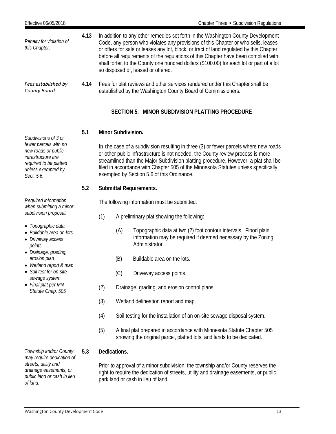<span id="page-13-0"></span>

| Effective 06/05/2018                                                                                                             |      |                                              |                                                                                                                                                                                                                                                                                                                                                                                                    | Chapter Three • Subdivision Regulations                                                                                                                                                                                                                                                                                                                                                                                                                                                  |  |  |  |
|----------------------------------------------------------------------------------------------------------------------------------|------|----------------------------------------------|----------------------------------------------------------------------------------------------------------------------------------------------------------------------------------------------------------------------------------------------------------------------------------------------------------------------------------------------------------------------------------------------------|------------------------------------------------------------------------------------------------------------------------------------------------------------------------------------------------------------------------------------------------------------------------------------------------------------------------------------------------------------------------------------------------------------------------------------------------------------------------------------------|--|--|--|
| Penalty for violation of<br>this Chapter.                                                                                        | 4.13 |                                              |                                                                                                                                                                                                                                                                                                                                                                                                    | In addition to any other remedies set forth in the Washington County Development<br>Code, any person who violates any provisions of this Chapter or who sells, leases<br>or offers for sale or leases any lot, block, or tract of land regulated by this Chapter<br>before all requirements of the regulations of this Chapter have been complied with<br>shall forfeit to the County one hundred dollars (\$100.00) for each lot or part of a lot<br>so disposed of, leased or offered. |  |  |  |
| Fees established by<br>County Board.                                                                                             | 4.14 |                                              |                                                                                                                                                                                                                                                                                                                                                                                                    | Fees for plat reviews and other services rendered under this Chapter shall be<br>established by the Washington County Board of Commissioners.                                                                                                                                                                                                                                                                                                                                            |  |  |  |
|                                                                                                                                  |      |                                              |                                                                                                                                                                                                                                                                                                                                                                                                    | SECTION 5. MINOR SUBDIVISION PLATTING PROCEDURE                                                                                                                                                                                                                                                                                                                                                                                                                                          |  |  |  |
| Subdivisions of 3 or                                                                                                             | 5.1  |                                              | Minor Subdivision.                                                                                                                                                                                                                                                                                                                                                                                 |                                                                                                                                                                                                                                                                                                                                                                                                                                                                                          |  |  |  |
| fewer parcels with no<br>new roads or public<br>infrastructure are<br>required to be platted<br>unless exempted by<br>Sect. 5.6. |      |                                              | In the case of a subdivision resulting in three (3) or fewer parcels where new roads<br>or other public infrastructure is not needed, the County review process is more<br>streamlined than the Major Subdivision platting procedure. However, a plat shall be<br>filed in accordance with Chapter 505 of the Minnesota Statutes unless specifically<br>exempted by Section 5.6 of this Ordinance. |                                                                                                                                                                                                                                                                                                                                                                                                                                                                                          |  |  |  |
|                                                                                                                                  | 5.2  |                                              |                                                                                                                                                                                                                                                                                                                                                                                                    | <b>Submittal Requirements.</b>                                                                                                                                                                                                                                                                                                                                                                                                                                                           |  |  |  |
| Required information<br>when submitting a minor                                                                                  |      | The following information must be submitted: |                                                                                                                                                                                                                                                                                                                                                                                                    |                                                                                                                                                                                                                                                                                                                                                                                                                                                                                          |  |  |  |
| subdivision proposal:                                                                                                            |      | (1)                                          |                                                                                                                                                                                                                                                                                                                                                                                                    | A preliminary plat showing the following:                                                                                                                                                                                                                                                                                                                                                                                                                                                |  |  |  |
| • Topographic data<br>• Buildable area on lots<br>• Driveway access<br>points                                                    |      |                                              | (A)                                                                                                                                                                                                                                                                                                                                                                                                | Topographic data at two (2) foot contour intervals. Flood plain<br>information may be required if deemed necessary by the Zoning<br>Administrator.                                                                                                                                                                                                                                                                                                                                       |  |  |  |
| • Drainage, grading,<br>erosion plan<br>• Wetland report & map                                                                   |      |                                              | (B)                                                                                                                                                                                                                                                                                                                                                                                                | Buildable area on the lots.                                                                                                                                                                                                                                                                                                                                                                                                                                                              |  |  |  |
| • Soil test for on-site<br>sewage system                                                                                         |      |                                              | (C)                                                                                                                                                                                                                                                                                                                                                                                                | Driveway access points.                                                                                                                                                                                                                                                                                                                                                                                                                                                                  |  |  |  |
| • Final plat per MN<br>Statute Chap. 505                                                                                         |      | (2)                                          |                                                                                                                                                                                                                                                                                                                                                                                                    | Drainage, grading, and erosion control plans.                                                                                                                                                                                                                                                                                                                                                                                                                                            |  |  |  |
|                                                                                                                                  |      | (3)                                          |                                                                                                                                                                                                                                                                                                                                                                                                    | Wetland delineation report and map.                                                                                                                                                                                                                                                                                                                                                                                                                                                      |  |  |  |
|                                                                                                                                  |      | (4)                                          |                                                                                                                                                                                                                                                                                                                                                                                                    | Soil testing for the installation of an on-site sewage disposal system.                                                                                                                                                                                                                                                                                                                                                                                                                  |  |  |  |
|                                                                                                                                  |      | (5)                                          |                                                                                                                                                                                                                                                                                                                                                                                                    | A final plat prepared in accordance with Minnesota Statute Chapter 505<br>showing the original parcel, platted lots, and lands to be dedicated.                                                                                                                                                                                                                                                                                                                                          |  |  |  |
| Township and/or County<br>may require dedication of                                                                              | 5.3  |                                              | Dedications.                                                                                                                                                                                                                                                                                                                                                                                       |                                                                                                                                                                                                                                                                                                                                                                                                                                                                                          |  |  |  |
| streets, utility and<br>drainage easements, or<br>public land or cash in lieu<br>of land.                                        |      |                                              |                                                                                                                                                                                                                                                                                                                                                                                                    | Prior to approval of a minor subdivision, the township and/or County reserves the<br>right to require the dedication of streets, utility and drainage easements, or public<br>park land or cash in lieu of land.                                                                                                                                                                                                                                                                         |  |  |  |
|                                                                                                                                  |      |                                              |                                                                                                                                                                                                                                                                                                                                                                                                    |                                                                                                                                                                                                                                                                                                                                                                                                                                                                                          |  |  |  |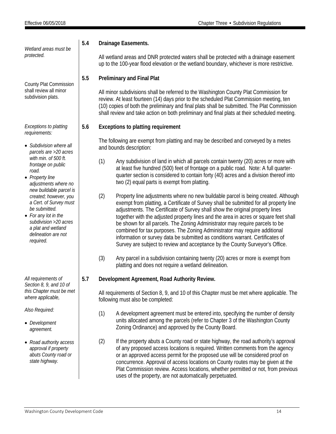*Wetland areas must be protected.*

County Plat Commission shall review all minor subdivision plats.

*Exceptions to platting requirements:*

- *Subdivision where all parcels are >20 acres with min. of 500 ft. frontage on public road.*
- *Property line adjustments where no new buildable parcel is created; however, you a Cert. of Survey must be submitted.*
- *For any lot in the subdivision >20 acres a plat and wetland delineation are not required.*

*All requirements of Section 8, 9, and 10 of this Chapter must be met where applicable,* 

*Also Required:*

- *Development agreement.*
- *Road authority access approval if property abuts County road or state highway.*

## **5.4 Drainage Easements.**

All wetland areas and DNR protected waters shall be protected with a drainage easement up to the 100-year flood elevation or the wetland boundary, whichever is more restrictive.

## **5.5 Preliminary and Final Plat**

All minor subdivisions shall be referred to the Washington County Plat Commission for review. At least fourteen (14) days prior to the scheduled Plat Commission meeting, ten (10) copies of both the preliminary and final plats shall be submitted. The Plat Commission shall review and take action on both preliminary and final plats at their scheduled meeting.

## **5.6 Exceptions to platting requirement**

The following are exempt from platting and may be described and conveyed by a metes and bounds description:

- (1) Any subdivision of land in which all parcels contain twenty (20) acres or more with at least five hundred (500) feet of frontage on a public road. Note: A full quarterquarter section is considered to contain forty (40) acres and a division thereof into two (2) equal parts is exempt from platting.
- (2) Property line adjustments where no new buildable parcel is being created. Although exempt from platting, a Certificate of Survey shall be submitted for all property line adjustments. The Certificate of Survey shall show the original property lines together with the adjusted property lines and the area in acres or square feet shall be shown for all parcels. The Zoning Administrator may require parcels to be combined for tax purposes. The Zoning Administrator may require additional information or survey data be submitted as conditions warrant. Certificates of Survey are subject to review and acceptance by the County Surveyor's Office.
- (3) Any parcel in a subdivision containing twenty (20) acres or more is exempt from platting and does not require a wetland delineation.

## **5.7 Development Agreement, Road Authority Review.**

All requirements of Section 8, 9, and 10 of this Chapter must be met where applicable. The following must also be completed:

- (1) A development agreement must be entered into, specifying the number of density units allocated among the parcels (refer to Chapter 3 of the Washington County Zoning Ordinance) and approved by the County Board.
- (2) If the property abuts a County road or state highway, the road authority's approval of any proposed access locations is required. Written comments from the agency or an approved access permit for the proposed use will be considered proof on concurrence. Approval of access locations on County routes may be given at the Plat Commission review. Access locations, whether permitted or not, from previous uses of the property, are not automatically perpetuated.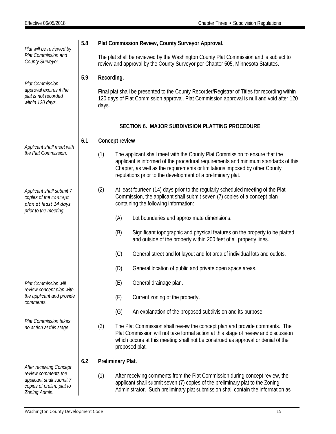<span id="page-15-0"></span>

| Plat will be reviewed by                                                                            | 5.8                                                                                                                                                                      |                                                                                                                                                                                                     |                   | Plat Commission Review, County Surveyor Approval.                                                                                                                                                                                                                                                               |  |  |  |
|-----------------------------------------------------------------------------------------------------|--------------------------------------------------------------------------------------------------------------------------------------------------------------------------|-----------------------------------------------------------------------------------------------------------------------------------------------------------------------------------------------------|-------------------|-----------------------------------------------------------------------------------------------------------------------------------------------------------------------------------------------------------------------------------------------------------------------------------------------------------------|--|--|--|
| Plat Commission and<br>County Surveyor.                                                             | The plat shall be reviewed by the Washington County Plat Commission and is subject to<br>review and approval by the County Surveyor per Chapter 505, Minnesota Statutes. |                                                                                                                                                                                                     |                   |                                                                                                                                                                                                                                                                                                                 |  |  |  |
| <b>Plat Commission</b>                                                                              | 5.9                                                                                                                                                                      | Recording.                                                                                                                                                                                          |                   |                                                                                                                                                                                                                                                                                                                 |  |  |  |
| approval expires if the<br>plat is not recorded<br>within 120 days.                                 |                                                                                                                                                                          | Final plat shall be presented to the County Recorder/Registrar of Titles for recording within<br>120 days of Plat Commission approval. Plat Commission approval is null and void after 120<br>days. |                   |                                                                                                                                                                                                                                                                                                                 |  |  |  |
|                                                                                                     |                                                                                                                                                                          |                                                                                                                                                                                                     |                   | SECTION 6. MAJOR SUBDIVISION PLATTING PROCEDURE                                                                                                                                                                                                                                                                 |  |  |  |
| Applicant shall meet with                                                                           | 6.1                                                                                                                                                                      |                                                                                                                                                                                                     | Concept review    |                                                                                                                                                                                                                                                                                                                 |  |  |  |
| the Plat Commission.                                                                                |                                                                                                                                                                          | (1)                                                                                                                                                                                                 |                   | The applicant shall meet with the County Plat Commission to ensure that the<br>applicant is informed of the procedural requirements and minimum standards of this<br>Chapter, as well as the requirements or limitations imposed by other County<br>regulations prior to the development of a preliminary plat. |  |  |  |
| Applicant shall submit 7<br>copies of the concept<br>plan at least 14 days<br>prior to the meeting. |                                                                                                                                                                          | (2)                                                                                                                                                                                                 |                   | At least fourteen (14) days prior to the regularly scheduled meeting of the Plat<br>Commission, the applicant shall submit seven (7) copies of a concept plan<br>containing the following information:                                                                                                          |  |  |  |
|                                                                                                     |                                                                                                                                                                          |                                                                                                                                                                                                     | (A)               | Lot boundaries and approximate dimensions.                                                                                                                                                                                                                                                                      |  |  |  |
|                                                                                                     |                                                                                                                                                                          |                                                                                                                                                                                                     | (B)               | Significant topographic and physical features on the property to be platted<br>and outside of the property within 200 feet of all property lines.                                                                                                                                                               |  |  |  |
|                                                                                                     |                                                                                                                                                                          |                                                                                                                                                                                                     | (C)               | General street and lot layout and lot area of individual lots and outlots.                                                                                                                                                                                                                                      |  |  |  |
|                                                                                                     |                                                                                                                                                                          |                                                                                                                                                                                                     | (D)               | General location of public and private open space areas.                                                                                                                                                                                                                                                        |  |  |  |
| Plat Commission will                                                                                |                                                                                                                                                                          |                                                                                                                                                                                                     | (E)               | General drainage plan.                                                                                                                                                                                                                                                                                          |  |  |  |
| review concept plan with<br>the applicant and provide<br>comments.                                  |                                                                                                                                                                          |                                                                                                                                                                                                     | (F)               | Current zoning of the property.                                                                                                                                                                                                                                                                                 |  |  |  |
|                                                                                                     |                                                                                                                                                                          |                                                                                                                                                                                                     | (G)               | An explanation of the proposed subdivision and its purpose.                                                                                                                                                                                                                                                     |  |  |  |
| Plat Commission takes<br>no action at this stage.                                                   |                                                                                                                                                                          | (3)                                                                                                                                                                                                 |                   | The Plat Commission shall review the concept plan and provide comments. The<br>Plat Commission will not take formal action at this stage of review and discussion<br>which occurs at this meeting shall not be construed as approval or denial of the<br>proposed plat.                                         |  |  |  |
| After receiving Concept                                                                             | 6.2                                                                                                                                                                      |                                                                                                                                                                                                     | Preliminary Plat. |                                                                                                                                                                                                                                                                                                                 |  |  |  |
| review comments the<br>applicant shall submit 7<br>copies of prelim. plat to<br>Zoning Admin.       |                                                                                                                                                                          | (1)                                                                                                                                                                                                 |                   | After receiving comments from the Plat Commission during concept review, the<br>applicant shall submit seven (7) copies of the preliminary plat to the Zoning<br>Administrator. Such preliminary plat submission shall contain the information as                                                               |  |  |  |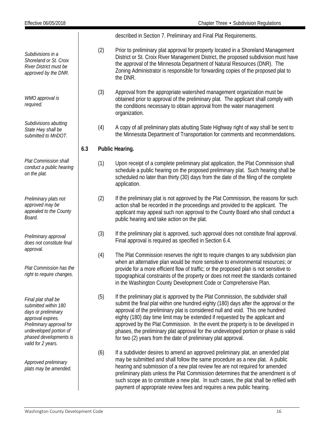|                                                                                                                                                                                               |     |     | described in Section 7. Preliminary and Final Plat Requirements.                                                                                                                                                                                                                                                                                                                                                                                                                                                                                                                        |
|-----------------------------------------------------------------------------------------------------------------------------------------------------------------------------------------------|-----|-----|-----------------------------------------------------------------------------------------------------------------------------------------------------------------------------------------------------------------------------------------------------------------------------------------------------------------------------------------------------------------------------------------------------------------------------------------------------------------------------------------------------------------------------------------------------------------------------------------|
| Subdivisions in a<br>Shoreland or St. Croix<br>River District must be<br>approved by the DNR.                                                                                                 |     | (2) | Prior to preliminary plat approval for property located in a Shoreland Management<br>District or St. Croix River Management District, the proposed subdivision must have<br>the approval of the Minnesota Department of Natural Resources (DNR). The<br>Zoning Administrator is responsible for forwarding copies of the proposed plat to<br>the DNR.                                                                                                                                                                                                                                   |
| WMO approval is<br>required.                                                                                                                                                                  |     | (3) | Approval from the appropriate watershed management organization must be<br>obtained prior to approval of the preliminary plat. The applicant shall comply with<br>the conditions necessary to obtain approval from the water management<br>organization.                                                                                                                                                                                                                                                                                                                                |
| Subdivisions abutting<br>State Hwy shall be<br>submitted to MnDOT.                                                                                                                            |     | (4) | A copy of all preliminary plats abutting State Highway right of way shall be sent to<br>the Minnesota Department of Transportation for comments and recommendations.                                                                                                                                                                                                                                                                                                                                                                                                                    |
|                                                                                                                                                                                               | 6.3 |     | Public Hearing.                                                                                                                                                                                                                                                                                                                                                                                                                                                                                                                                                                         |
| <b>Plat Commission shall</b><br>conduct a public hearing<br>on the plat.                                                                                                                      |     | (1) | Upon receipt of a complete preliminary plat application, the Plat Commission shall<br>schedule a public hearing on the proposed preliminary plat. Such hearing shall be<br>scheduled no later than thirty (30) days from the date of the filing of the complete<br>application.                                                                                                                                                                                                                                                                                                         |
| Preliminary plats not<br>approved may be<br>appealed to the County<br>Board.                                                                                                                  |     | (2) | If the preliminary plat is not approved by the Plat Commission, the reasons for such<br>action shall be recorded in the proceedings and provided to the applicant. The<br>applicant may appeal such non approval to the County Board who shall conduct a<br>public hearing and take action on the plat.                                                                                                                                                                                                                                                                                 |
| Preliminary approval<br>does not constitute final                                                                                                                                             |     | (3) | If the preliminary plat is approved, such approval does not constitute final approval.<br>Final approval is required as specified in Section 6.4.                                                                                                                                                                                                                                                                                                                                                                                                                                       |
| approval.<br>Plat Commission has the<br>right to require changes.                                                                                                                             |     | (4) | The Plat Commission reserves the right to require changes to any subdivision plan<br>when an alternative plan would be more sensitive to environmental resources; or<br>provide for a more efficient flow of traffic; or the proposed plan is not sensitive to<br>topographical constraints of the property or does not meet the standards contained<br>in the Washington County Development Code or Comprehensive Plan.                                                                                                                                                                |
| Final plat shall be<br>submitted within 180<br>days or preliminary<br>approval expires.<br>Preliminary approval for<br>undeveloped portion of<br>phased developments is<br>valid for 2 years. |     | (5) | If the preliminary plat is approved by the Plat Commission, the subdivider shall<br>submit the final plat within one hundred eighty (180) days after the approval or the<br>approval of the preliminary plat is considered null and void. This one hundred<br>eighty (180) day time limit may be extended if requested by the applicant and<br>approved by the Plat Commission. In the event the property is to be developed in<br>phases, the preliminary plat approval for the undeveloped portion or phase is valid<br>for two (2) years from the date of preliminary plat approval. |
| Approved preliminary<br>plats may be amended.                                                                                                                                                 |     | (6) | If a subdivider desires to amend an approved preliminary plat, an amended plat<br>may be submitted and shall follow the same procedure as a new plat. A public<br>hearing and submission of a new plat review fee are not required for amended<br>preliminary plats unless the Plat Commission determines that the amendment is of<br>such scope as to constitute a new plat. In such cases, the plat shall be refiled with<br>payment of appropriate review fees and requires a new public hearing.                                                                                    |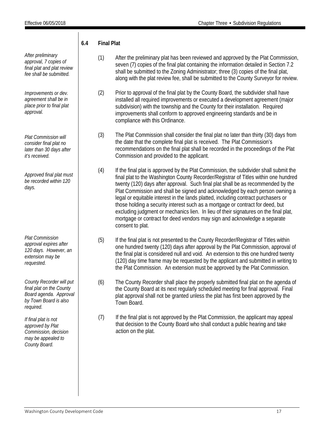<span id="page-17-0"></span>*After preliminary approval, 7 copies of final plat and plat review fee shall be submitted. Improvements or dev. agreement shall be in place prior to final plat approval. Plat Commission will consider final plat no later than 30 days after it's received. Approved final plat must be recorded within 120 days. Plat Commission approval expires after 120 days. However, an extension may be requested. County Recorder will put final plat on the County Board agenda. Approval by Town Board is also required. If final plat is not approved by Plat Commission, decision may be appealed to County Board.* **6.4 Final Plat** (1) After the preliminary plat has been reviewed and approved by the Plat Commission, seven (7) copies of the final plat containing the information detailed in Section 7.2 shall be submitted to the Zoning Administrator; three (3) copies of the final plat, along with the plat review fee, shall be submitted to the County Surveyor for review. (2) Prior to approval of the final plat by the County Board, the subdivider shall have installed all required improvements or executed a development agreement (major subdivision) with the township and the County for their installation. Required improvements shall conform to approved engineering standards and be in compliance with this Ordinance. (3) The Plat Commission shall consider the final plat no later than thirty (30) days from the date that the complete final plat is received. The Plat Commission's recommendations on the final plat shall be recorded in the proceedings of the Plat Commission and provided to the applicant. (4) If the final plat is approved by the Plat Commission, the subdivider shall submit the final plat to the Washington County Recorder/Registrar of Titles within one hundred twenty (120) days after approval. Such final plat shall be as recommended by the Plat Commission and shall be signed and acknowledged by each person owning a legal or equitable interest in the lands platted, including contract purchasers or those holding a security interest such as a mortgage or contract for deed, but excluding judgment or mechanics lien. In lieu of their signatures on the final plat, mortgage or contract for deed vendors may sign and acknowledge a separate consent to plat. (5) If the final plat is not presented to the County Recorder/Registrar of Titles within one hundred twenty (120) days after approval by the Plat Commission, approval of the final plat is considered null and void. An extension to this one hundred twenty (120) day time frame may be requested by the applicant and submitted in writing to the Plat Commission. An extension must be approved by the Plat Commission. (6) The County Recorder shall place the properly submitted final plat on the agenda of the County Board at its next regularly scheduled meeting for final approval. Final plat approval shall not be granted unless the plat has first been approved by the Town Board. (7) If the final plat is not approved by the Plat Commission, the applicant may appeal that decision to the County Board who shall conduct a public hearing and take action on the plat.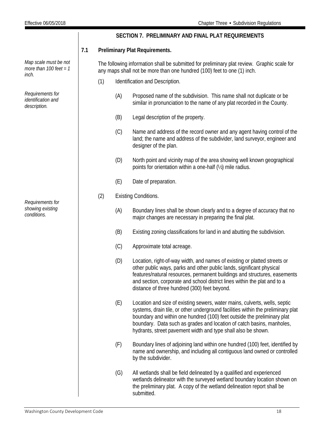|                                                            |     |                                |     | SECTION 7. PRELIMINARY AND FINAL PLAT REQUIREMENTS                                                                                                                                                                                                                                                                                                                                  |
|------------------------------------------------------------|-----|--------------------------------|-----|-------------------------------------------------------------------------------------------------------------------------------------------------------------------------------------------------------------------------------------------------------------------------------------------------------------------------------------------------------------------------------------|
|                                                            | 7.1 | Preliminary Plat Requirements. |     |                                                                                                                                                                                                                                                                                                                                                                                     |
| Map scale must be not<br>more than 100 feet = $1$<br>inch. |     |                                |     | The following information shall be submitted for preliminary plat review. Graphic scale for<br>any maps shall not be more than one hundred (100) feet to one (1) inch.                                                                                                                                                                                                              |
|                                                            |     | (1)                            |     | Identification and Description.                                                                                                                                                                                                                                                                                                                                                     |
| Requirements for<br>identification and<br>description.     |     |                                | (A) | Proposed name of the subdivision. This name shall not duplicate or be<br>similar in pronunciation to the name of any plat recorded in the County.                                                                                                                                                                                                                                   |
|                                                            |     |                                | (B) | Legal description of the property.                                                                                                                                                                                                                                                                                                                                                  |
|                                                            |     |                                | (C) | Name and address of the record owner and any agent having control of the<br>land; the name and address of the subdivider, land surveyor, engineer and<br>designer of the plan.                                                                                                                                                                                                      |
|                                                            |     |                                | (D) | North point and vicinity map of the area showing well known geographical<br>points for orientation within a one-half (1/2) mile radius.                                                                                                                                                                                                                                             |
|                                                            |     |                                | (E) | Date of preparation.                                                                                                                                                                                                                                                                                                                                                                |
|                                                            |     | (2)                            |     | <b>Existing Conditions.</b>                                                                                                                                                                                                                                                                                                                                                         |
| Requirements for<br>showing existing<br>conditions.        |     |                                | (A) | Boundary lines shall be shown clearly and to a degree of accuracy that no<br>major changes are necessary in preparing the final plat.                                                                                                                                                                                                                                               |
|                                                            |     |                                | (B) | Existing zoning classifications for land in and abutting the subdivision.                                                                                                                                                                                                                                                                                                           |
|                                                            |     |                                | (C) | Approximate total acreage.                                                                                                                                                                                                                                                                                                                                                          |
|                                                            |     |                                | (D) | Location, right-of-way width, and names of existing or platted streets or<br>other public ways, parks and other public lands, significant physical<br>features/natural resources, permanent buildings and structures, easements<br>and section, corporate and school district lines within the plat and to a<br>distance of three hundred (300) feet beyond.                        |
|                                                            |     |                                | (E) | Location and size of existing sewers, water mains, culverts, wells, septic<br>systems, drain tile, or other underground facilities within the preliminary plat<br>boundary and within one hundred (100) feet outside the preliminary plat<br>boundary. Data such as grades and location of catch basins, manholes,<br>hydrants, street pavement width and type shall also be shown. |
|                                                            |     |                                | (F) | Boundary lines of adjoining land within one hundred (100) feet, identified by<br>name and ownership, and including all contiguous land owned or controlled<br>by the subdivider.                                                                                                                                                                                                    |
|                                                            |     |                                | (G) | All wetlands shall be field delineated by a qualified and experienced<br>wetlands delineator with the surveyed wetland boundary location shown on<br>the preliminary plat. A copy of the wetland delineation report shall be<br>submitted.                                                                                                                                          |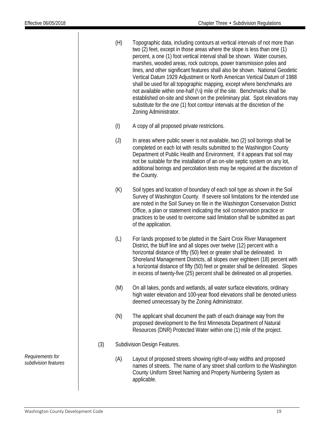- (H) Topographic data, including contours at vertical intervals of not more than two (2) feet, except in those areas where the slope is less than one (1) percent, a one (1) foot vertical interval shall be shown. Water courses, marshes, wooded areas, rock outcrops, power transmission poles and lines, and other significant features shall also be shown. National Geodetic Vertical Datum 1929 Adjustment or North American Vertical Datum of 1988 shall be used for all topographic mapping, except where benchmarks are not available within one-half (½) mile of the site. Benchmarks shall be established on-site and shown on the preliminary plat. Spot elevations may substitute for the one (1) foot contour intervals at the discretion of the Zoning Administrator.
- (I) A copy of all proposed private restrictions.
- (J) In areas where public sewer is not available, two (2) soil borings shall be completed on each lot with results submitted to the Washington County Department of Public Health and Environment. If it appears that soil may not be suitable for the installation of an on-site septic system on any lot, additional borings and percolation tests may be required at the discretion of the County.
- (K) Soil types and location of boundary of each soil type as shown in the Soil Survey of Washington County. If severe soil limitations for the intended use are noted in the Soil Survey on file in the Washington Conservation District Office, a plan or statement indicating the soil conservation practice or practices to be used to overcome said limitation shall be submitted as part of the application.
- (L) For lands proposed to be platted in the Saint Croix River Management District, the bluff line and all slopes over twelve (12) percent with a horizontal distance of fifty (50) feet or greater shall be delineated. In Shoreland Management Districts, all slopes over eighteen (18) percent with a horizontal distance of fifty (50) feet or greater shall be delineated. Slopes in excess of twenty-five (25) percent shall be delineated on all properties.
- (M) On all lakes, ponds and wetlands, all water surface elevations, ordinary high water elevation and 100-year flood elevations shall be denoted unless deemed unnecessary by the Zoning Administrator.
- (N) The applicant shall document the path of each drainage way from the proposed development to the first Minnesota Department of Natural Resources (DNR) Protected Water within one (1) mile of the project.
- (3) Subdivision Design Features.
	- (A) Layout of proposed streets showing right-of-way widths and proposed names of streets. The name of any street shall conform to the Washington County Uniform Street Naming and Property Numbering System as applicable.

*Requirements for subdivision features*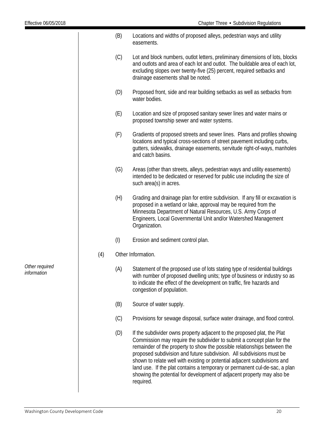|                 |     | (B)       | Locations and widths of proposed alleys, pedestrian ways and utility<br>easements.                                                                                                                                                                                                                                                                                                                                                                                                                                                          |
|-----------------|-----|-----------|---------------------------------------------------------------------------------------------------------------------------------------------------------------------------------------------------------------------------------------------------------------------------------------------------------------------------------------------------------------------------------------------------------------------------------------------------------------------------------------------------------------------------------------------|
|                 |     | (C)       | Lot and block numbers, outlot letters, preliminary dimensions of lots, blocks<br>and outlots and area of each lot and outlot. The buildable area of each lot,<br>excluding slopes over twenty-five (25) percent, required setbacks and<br>drainage easements shall be noted.                                                                                                                                                                                                                                                                |
|                 |     | (D)       | Proposed front, side and rear building setbacks as well as setbacks from<br>water bodies.                                                                                                                                                                                                                                                                                                                                                                                                                                                   |
|                 |     | (E)       | Location and size of proposed sanitary sewer lines and water mains or<br>proposed township sewer and water systems.                                                                                                                                                                                                                                                                                                                                                                                                                         |
|                 |     | (F)       | Gradients of proposed streets and sewer lines. Plans and profiles showing<br>locations and typical cross-sections of street pavement including curbs,<br>gutters, sidewalks, drainage easements, servitude right-of-ways, manholes<br>and catch basins.                                                                                                                                                                                                                                                                                     |
|                 |     | (G)       | Areas (other than streets, alleys, pedestrian ways and utility easements)<br>intended to be dedicated or reserved for public use including the size of<br>such area(s) in acres.                                                                                                                                                                                                                                                                                                                                                            |
|                 |     | (H)       | Grading and drainage plan for entire subdivision. If any fill or excavation is<br>proposed in a wetland or lake, approval may be required from the<br>Minnesota Department of Natural Resources, U.S. Army Corps of<br>Engineers, Local Governmental Unit and/or Watershed Management<br>Organization.                                                                                                                                                                                                                                      |
|                 |     | $($ l $)$ | Erosion and sediment control plan.                                                                                                                                                                                                                                                                                                                                                                                                                                                                                                          |
|                 | (4) |           | Other Information.                                                                                                                                                                                                                                                                                                                                                                                                                                                                                                                          |
| equired<br>tion |     | (A)       | Statement of the proposed use of lots stating type of residential buildings<br>with number of proposed dwelling units; type of business or industry so as<br>to indicate the effect of the development on traffic, fire hazards and<br>congestion of population.                                                                                                                                                                                                                                                                            |
|                 |     | (B)       | Source of water supply.                                                                                                                                                                                                                                                                                                                                                                                                                                                                                                                     |
|                 |     | (C)       | Provisions for sewage disposal, surface water drainage, and flood control.                                                                                                                                                                                                                                                                                                                                                                                                                                                                  |
|                 |     | (D)       | If the subdivider owns property adjacent to the proposed plat, the Plat<br>Commission may require the subdivider to submit a concept plan for the<br>remainder of the property to show the possible relationships between the<br>proposed subdivision and future subdivision. All subdivisions must be<br>shown to relate well with existing or potential adjacent subdivisions and<br>land use. If the plat contains a temporary or permanent cul-de-sac, a plan<br>showing the potential for development of adjacent property may also be |

required.

*Other re informat*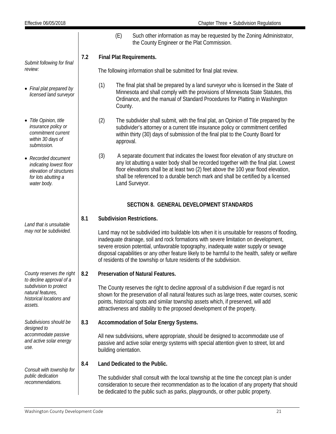<span id="page-21-0"></span>

|                                                                                                                 |     |                                                                                                                                                                                                                                                                                                                                                                                                                                                          | (E)                                                                                                                                                                                                                                                                           | Such other information as may be requested by the Zoning Administrator,<br>the County Engineer or the Plat Commission.                                                                                                                                                                                                                                                 |  |  |
|-----------------------------------------------------------------------------------------------------------------|-----|----------------------------------------------------------------------------------------------------------------------------------------------------------------------------------------------------------------------------------------------------------------------------------------------------------------------------------------------------------------------------------------------------------------------------------------------------------|-------------------------------------------------------------------------------------------------------------------------------------------------------------------------------------------------------------------------------------------------------------------------------|------------------------------------------------------------------------------------------------------------------------------------------------------------------------------------------------------------------------------------------------------------------------------------------------------------------------------------------------------------------------|--|--|
| Submit following for final                                                                                      | 7.2 | Final Plat Requirements.                                                                                                                                                                                                                                                                                                                                                                                                                                 |                                                                                                                                                                                                                                                                               |                                                                                                                                                                                                                                                                                                                                                                        |  |  |
| review:                                                                                                         |     |                                                                                                                                                                                                                                                                                                                                                                                                                                                          |                                                                                                                                                                                                                                                                               | The following information shall be submitted for final plat review.                                                                                                                                                                                                                                                                                                    |  |  |
| • Final plat prepared by<br>licensed land surveyor                                                              |     | (1)<br>The final plat shall be prepared by a land surveyor who is licensed in the State of<br>Minnesota and shall comply with the provisions of Minnesota State Statutes, this<br>Ordinance, and the manual of Standard Procedures for Platting in Washington<br>County.                                                                                                                                                                                 |                                                                                                                                                                                                                                                                               |                                                                                                                                                                                                                                                                                                                                                                        |  |  |
| • Title Opinion, title<br>insurance policy or<br>commitment current<br>within 30 days of<br>submission.         |     | (2)<br>subdivider's attorney or a current title insurance policy or commitment certified<br>within thirty (30) days of submission of the final plat to the County Board for<br>approval.                                                                                                                                                                                                                                                                 |                                                                                                                                                                                                                                                                               | The subdivider shall submit, with the final plat, an Opinion of Title prepared by the                                                                                                                                                                                                                                                                                  |  |  |
| • Recorded document<br>indicating lowest floor<br>elevation of structures<br>for lots abutting a<br>water body. |     | (3)                                                                                                                                                                                                                                                                                                                                                                                                                                                      |                                                                                                                                                                                                                                                                               | A separate document that indicates the lowest floor elevation of any structure on<br>any lot abutting a water body shall be recorded together with the final plat. Lowest<br>floor elevations shall be at least two (2) feet above the 100 year flood elevation,<br>shall be referenced to a durable bench mark and shall be certified by a licensed<br>Land Surveyor. |  |  |
|                                                                                                                 |     |                                                                                                                                                                                                                                                                                                                                                                                                                                                          |                                                                                                                                                                                                                                                                               | <b>SECTION 8. GENERAL DEVELOPMENT STANDARDS</b>                                                                                                                                                                                                                                                                                                                        |  |  |
| Land that is unsuitable                                                                                         | 8.1 |                                                                                                                                                                                                                                                                                                                                                                                                                                                          |                                                                                                                                                                                                                                                                               | <b>Subdivision Restrictions.</b>                                                                                                                                                                                                                                                                                                                                       |  |  |
| may not be subdivided.                                                                                          |     | Land may not be subdivided into buildable lots when it is unsuitable for reasons of flooding,<br>inadequate drainage, soil and rock formations with severe limitation on development,<br>severe erosion potential, unfavorable topography, inadequate water supply or sewage<br>disposal capabilities or any other feature likely to be harmful to the health, safety or welfare<br>of residents of the township or future residents of the subdivision. |                                                                                                                                                                                                                                                                               |                                                                                                                                                                                                                                                                                                                                                                        |  |  |
| County reserves the right<br>to decline approval of a                                                           | 8.2 |                                                                                                                                                                                                                                                                                                                                                                                                                                                          |                                                                                                                                                                                                                                                                               | Preservation of Natural Features.                                                                                                                                                                                                                                                                                                                                      |  |  |
| subdivision to protect<br>natural features,<br>historical locations and<br>assets.                              |     |                                                                                                                                                                                                                                                                                                                                                                                                                                                          |                                                                                                                                                                                                                                                                               | The County reserves the right to decline approval of a subdivision if due regard is not<br>shown for the preservation of all natural features such as large trees, water courses, scenic<br>points, historical spots and similar township assets which, if preserved, will add<br>attractiveness and stability to the proposed development of the property.            |  |  |
| Subdivisions should be<br>designed to                                                                           | 8.3 |                                                                                                                                                                                                                                                                                                                                                                                                                                                          |                                                                                                                                                                                                                                                                               | Accommodation of Solar Energy Systems.                                                                                                                                                                                                                                                                                                                                 |  |  |
| accommodate passive<br>and active solar energy<br>use.                                                          |     | building orientation.                                                                                                                                                                                                                                                                                                                                                                                                                                    |                                                                                                                                                                                                                                                                               | All new subdivisions, where appropriate, should be designed to accommodate use of<br>passive and active solar energy systems with special attention given to street, lot and                                                                                                                                                                                           |  |  |
| Consult with township for                                                                                       | 8.4 |                                                                                                                                                                                                                                                                                                                                                                                                                                                          |                                                                                                                                                                                                                                                                               | Land Dedicated to the Public.                                                                                                                                                                                                                                                                                                                                          |  |  |
| public dedication<br>recommendations.                                                                           |     |                                                                                                                                                                                                                                                                                                                                                                                                                                                          | The subdivider shall consult with the local township at the time the concept plan is under<br>consideration to secure their recommendation as to the location of any property that should<br>be dedicated to the public such as parks, playgrounds, or other public property. |                                                                                                                                                                                                                                                                                                                                                                        |  |  |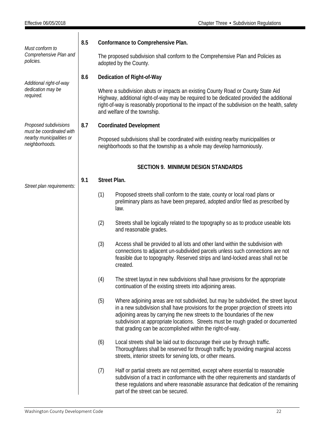<span id="page-22-0"></span>

| Must conform to                                                        | 8.5 |                                                                                                                                                              | Conformance to Comprehensive Plan.                                                                                                                                                                                                                                                                                                                                                                      |  |  |  |  |
|------------------------------------------------------------------------|-----|--------------------------------------------------------------------------------------------------------------------------------------------------------------|---------------------------------------------------------------------------------------------------------------------------------------------------------------------------------------------------------------------------------------------------------------------------------------------------------------------------------------------------------------------------------------------------------|--|--|--|--|
| Comprehensive Plan and<br>policies.                                    |     |                                                                                                                                                              | The proposed subdivision shall conform to the Comprehensive Plan and Policies as<br>adopted by the County.                                                                                                                                                                                                                                                                                              |  |  |  |  |
|                                                                        | 8.6 |                                                                                                                                                              | Dedication of Right-of-Way                                                                                                                                                                                                                                                                                                                                                                              |  |  |  |  |
| Additional right-of-way<br>dedication may be<br>required.              |     |                                                                                                                                                              | Where a subdivision abuts or impacts an existing County Road or County State Aid<br>Highway, additional right-of-way may be required to be dedicated provided the additional<br>right-of-way is reasonably proportional to the impact of the subdivision on the health, safety<br>and welfare of the township.                                                                                          |  |  |  |  |
| Proposed subdivisions                                                  | 8.7 |                                                                                                                                                              | <b>Coordinated Development</b>                                                                                                                                                                                                                                                                                                                                                                          |  |  |  |  |
| must be coordinated with<br>nearby municipalities or<br>neighborhoods. |     | Proposed subdivisions shall be coordinated with existing nearby municipalities or<br>neighborhoods so that the township as a whole may develop harmoniously. |                                                                                                                                                                                                                                                                                                                                                                                                         |  |  |  |  |
|                                                                        |     |                                                                                                                                                              | <b>SECTION 9. MINIMUM DESIGN STANDARDS</b>                                                                                                                                                                                                                                                                                                                                                              |  |  |  |  |
|                                                                        | 9.1 | Street Plan.                                                                                                                                                 |                                                                                                                                                                                                                                                                                                                                                                                                         |  |  |  |  |
| Street plan requirements:                                              |     | (1)                                                                                                                                                          | Proposed streets shall conform to the state, county or local road plans or<br>preliminary plans as have been prepared, adopted and/or filed as prescribed by<br>law.                                                                                                                                                                                                                                    |  |  |  |  |
|                                                                        |     | (2)                                                                                                                                                          | Streets shall be logically related to the topography so as to produce useable lots<br>and reasonable grades.                                                                                                                                                                                                                                                                                            |  |  |  |  |
|                                                                        |     | (3)                                                                                                                                                          | Access shall be provided to all lots and other land within the subdivision with<br>connections to adjacent un-subdivided parcels unless such connections are not<br>feasible due to topography. Reserved strips and land-locked areas shall not be<br>created.                                                                                                                                          |  |  |  |  |
|                                                                        |     | (4)                                                                                                                                                          | The street layout in new subdivisions shall have provisions for the appropriate<br>continuation of the existing streets into adjoining areas.                                                                                                                                                                                                                                                           |  |  |  |  |
|                                                                        |     | (5)                                                                                                                                                          | Where adjoining areas are not subdivided, but may be subdivided, the street layout<br>in a new subdivision shall have provisions for the proper projection of streets into<br>adjoining areas by carrying the new streets to the boundaries of the new<br>subdivision at appropriate locations. Streets must be rough graded or documented<br>that grading can be accomplished within the right-of-way. |  |  |  |  |
|                                                                        |     | (6)                                                                                                                                                          | Local streets shall be laid out to discourage their use by through traffic.<br>Thoroughfares shall be reserved for through traffic by providing marginal access<br>streets, interior streets for serving lots, or other means.                                                                                                                                                                          |  |  |  |  |
|                                                                        |     | (7)                                                                                                                                                          | Half or partial streets are not permitted, except where essential to reasonable<br>subdivision of a tract in conformance with the other requirements and standards of<br>these regulations and where reasonable assurance that dedication of the remaining<br>part of the street can be secured.                                                                                                        |  |  |  |  |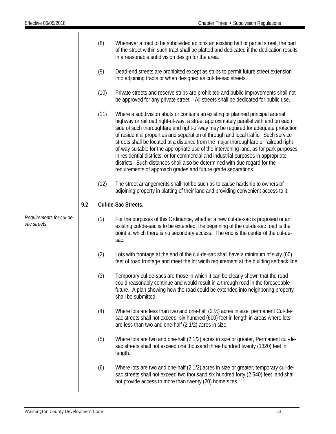|                                          |     | (8)                 | Whenever a tract to be subdivided adjoins an existing half or partial street, the part<br>of the street within such tract shall be platted and dedicated if the dedication results<br>in a reasonable subdivision design for the area.                                                                                                                                                                                                                                                                                                                                                                                                                                                                                                                                    |  |  |  |  |
|------------------------------------------|-----|---------------------|---------------------------------------------------------------------------------------------------------------------------------------------------------------------------------------------------------------------------------------------------------------------------------------------------------------------------------------------------------------------------------------------------------------------------------------------------------------------------------------------------------------------------------------------------------------------------------------------------------------------------------------------------------------------------------------------------------------------------------------------------------------------------|--|--|--|--|
|                                          |     | (9)                 | Dead-end streets are prohibited except as stubs to permit future street extension<br>into adjoining tracts or when designed as cul-de-sac streets.                                                                                                                                                                                                                                                                                                                                                                                                                                                                                                                                                                                                                        |  |  |  |  |
|                                          |     | (10)                | Private streets and reserve strips are prohibited and public improvements shall not<br>be approved for any private street. All streets shall be dedicated for public use.                                                                                                                                                                                                                                                                                                                                                                                                                                                                                                                                                                                                 |  |  |  |  |
|                                          |     | (11)                | Where a subdivision abuts or contains an existing or planned principal arterial<br>highway or railroad right-of-way, a street approximately parallel with and on each<br>side of such thoroughfare and right-of-way may be required for adequate protection<br>of residential properties and separation of through and local traffic. Such service<br>streets shall be located at a distance from the major thoroughfare or railroad right-<br>of-way suitable for the appropriate use of the intervening land, as for park purposes<br>in residential districts, or for commercial and industrial purposes in appropriate<br>districts. Such distances shall also be determined with due regard for the<br>requirements of approach grades and future grade separations. |  |  |  |  |
|                                          |     | (12)                | The street arrangements shall not be such as to cause hardship to owners of<br>adjoining property in platting of their land and providing convenient access to it.                                                                                                                                                                                                                                                                                                                                                                                                                                                                                                                                                                                                        |  |  |  |  |
|                                          | 9.2 | Cul-de-Sac Streets. |                                                                                                                                                                                                                                                                                                                                                                                                                                                                                                                                                                                                                                                                                                                                                                           |  |  |  |  |
| Requirements for cul-de-<br>sac streets: |     | (1)                 | For the purposes of this Ordinance, whether a new cul-de-sac is proposed or an<br>existing cul-de-sac is to be extended, the beginning of the cul-de-sac road is the<br>point at which there is no secondary access. The end is the center of the cul-de-<br>sac.                                                                                                                                                                                                                                                                                                                                                                                                                                                                                                         |  |  |  |  |
|                                          |     | (2)                 | Lots with frontage at the end of the cul-de-sac shall have a minimum of sixty (60)<br>feet of road frontage and meet the lot width requirement at the building setback line.                                                                                                                                                                                                                                                                                                                                                                                                                                                                                                                                                                                              |  |  |  |  |
|                                          |     | (3)                 | Temporary cul-de-sacs are those in which it can be clearly shown that the road<br>could reasonably continue and would result in a through road in the foreseeable<br>future. A plan showing how the road could be extended into neighboring property<br>shall be submitted.                                                                                                                                                                                                                                                                                                                                                                                                                                                                                               |  |  |  |  |
|                                          |     | (4)                 | Where lots are less than two and one-half (2 1/2) acres in size, permanent Cul-de-<br>sac streets shall not exceed six hundred (600) feet in length in areas where lots<br>are less than two and one-half (2 1/2) acres in size.                                                                                                                                                                                                                                                                                                                                                                                                                                                                                                                                          |  |  |  |  |
|                                          |     | (5)                 | Where lots are two and one-half (2 1/2) acres in size or greater, Permanent cul-de-<br>sac streets shall not exceed one thousand three hundred twenty (1320) feet in<br>length.                                                                                                                                                                                                                                                                                                                                                                                                                                                                                                                                                                                           |  |  |  |  |
|                                          |     | (6)                 | Where lots are two and one-half (2 1/2) acres in size or greater, temporary cul-de-<br>sac streets shall not exceed two thousand six hundred forty (2,640) feet and shall<br>not provide access to more than twenty (20) home sites.                                                                                                                                                                                                                                                                                                                                                                                                                                                                                                                                      |  |  |  |  |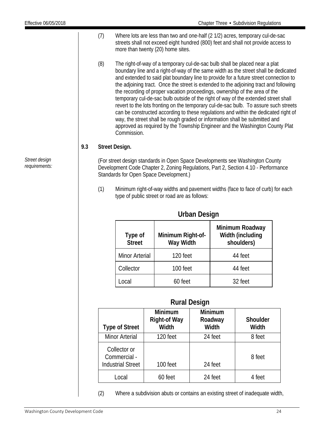- (7) Where lots are less than two and one-half (2 1/2) acres, temporary cul-de-sac streets shall not exceed eight hundred (800) feet and shall not provide access to more than twenty (20) home sites.
- (8) The right-of-way of a temporary cul-de-sac bulb shall be placed near a plat boundary line and a right-of-way of the same width as the street shall be dedicated and extended to said plat boundary line to provide for a future street connection to the adjoining tract. Once the street is extended to the adjoining tract and following the recording of proper vacation proceedings, ownership of the area of the temporary cul-de-sac bulb outside of the right of way of the extended street shall revert to the lots fronting on the temporary cul-de-sac bulb. To assure such streets can be constructed according to these regulations and within the dedicated right of way, the street shall be rough graded or information shall be submitted and approved as required by the Township Engineer and the Washington County Plat Commission.

## **9.3 Street Design.**

(For street design standards in Open Space Developments see Washington County Development Code Chapter 2, Zoning Regulations, Part 2, Section 4.10 - Performance Standards for Open Space Development.)

(1) Minimum right-of-way widths and pavement widths (face to face of curb) for each type of public street or road are as follows:

| Type of<br><b>Street</b> | Minimum Right-of-<br>Way Width | Minimum Roadway<br>Width (including<br>shoulders) |
|--------------------------|--------------------------------|---------------------------------------------------|
| <b>Minor Arterial</b>    | 120 feet                       | 44 feet                                           |
| Collector                | 100 feet                       | 44 feet                                           |
| ncal                     | 60 feet                        | 32 feet                                           |

## **Urban Design**

## **Rural Design**

| <b>Type of Street</b>                                    | <b>Minimum</b><br><b>Right-of Way</b><br><b>Width</b> | <b>Minimum</b><br>Roadway<br>Width | <b>Shoulder</b><br>Width |
|----------------------------------------------------------|-------------------------------------------------------|------------------------------------|--------------------------|
| <b>Minor Arterial</b>                                    | 120 feet                                              | 24 feet                            | 8 feet                   |
| Collector or<br>Commercial -<br><b>Industrial Street</b> | 100 feet                                              | 24 feet                            | 8 feet                   |
| Local                                                    | 60 feet                                               | 24 feet                            | 4 feet                   |

(2) Where a subdivision abuts or contains an existing street of inadequate width,

*Street design requirements:*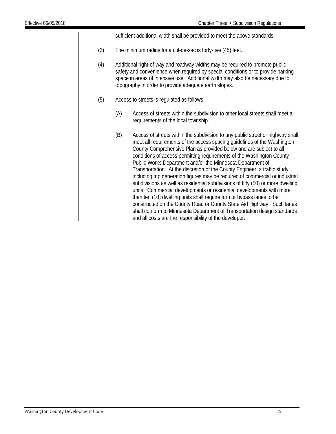sufficient additional width shall be provided to meet the above standards.

- (3) The minimum radius for a cul-de-sac is forty-five (45) feet.
- (4) Additional right-of-way and roadway widths may be required to promote public safety and convenience when required by special conditions or to provide parking space in areas of intensive use. Additional width may also be necessary due to topography in order to provide adequate earth slopes.
- (5) Access to streets is regulated as follows:
	- (A) Access of streets within the subdivision to other local streets shall meet all requirements of the local township.
	- (B) Access of streets within the subdivision to any public street or highway shall meet all requirements of the access spacing guidelines of the Washington County Comprehensive Plan as provided below and are subject to all conditions of access permitting requirements of the Washington County Public Works Department and/or the Minnesota Department of Transportation. At the discretion of the County Engineer, a traffic study including trip generation figures may be required of commercial or industrial subdivisions as well as residential subdivisions of fifty (50) or more dwelling units. Commercial developments or residential developments with more than ten (10) dwelling units shall require turn or bypass lanes to be constructed on the County Road or County State Aid Highway. Such lanes shall conform to Minnesota Department of Transportation design standards and all costs are the responsibility of the developer.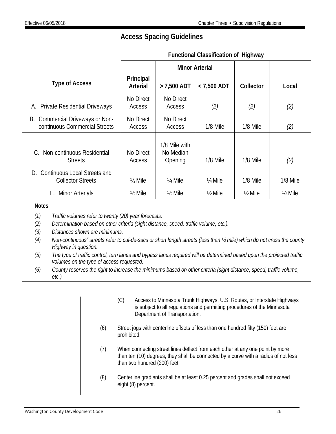## **Access Spacing Guidelines**

|                                                                       | <b>Functional Classification of Highway</b> |                                       |                      |                    |                    |
|-----------------------------------------------------------------------|---------------------------------------------|---------------------------------------|----------------------|--------------------|--------------------|
|                                                                       |                                             | <b>Minor Arterial</b>                 |                      |                    |                    |
| <b>Type of Access</b>                                                 | Principal<br>Arterial                       | $> 7,500$ ADT                         | $<$ 7,500 ADT        | Collector          | Local              |
| <b>Private Residential Driveways</b><br>А.                            | No Direct<br>Access                         | No Direct<br>Access                   | (2)                  | (2)                | (2)                |
| B. Commercial Driveways or Non-<br>continuous Commercial Streets      | No Direct<br>Access                         | No Direct<br>Access                   | 1/8 Mile             | 1/8 Mile           | (2)                |
| Non-continuous Residential<br>C.<br><b>Streets</b>                    | No Direct<br>Access                         | 1/8 Mile with<br>No Median<br>Opening | 1/8 Mile             | 1/8 Mile           | (2)                |
| <b>Continuous Local Streets and</b><br>D.<br><b>Collector Streets</b> | $\frac{1}{2}$ Mile                          | 1/ <sub>4</sub> Mile                  | 1/ <sub>4</sub> Mile | 1/8 Mile           | 1/8 Mile           |
| <b>Minor Arterials</b><br>Е.                                          | $\frac{1}{2}$ Mile                          | $\frac{1}{2}$ Mile                    | $\frac{1}{2}$ Mile   | $\frac{1}{2}$ Mile | $\frac{1}{2}$ Mile |

## **Notes**

- *(1) Traffic volumes refer to twenty (20) year forecasts.*
- *(2) Determination based on other criteria (sight distance, speed, traffic volume, etc.).*
- *(3) Distances shown are minimums.*
- *(4) Non-continuous" streets refer to cul-de-sacs or short length streets (less than ½ mile) which do not cross the county Highway in question.*
- *(5) The type of traffic control, turn lanes and bypass lanes required will be determined based upon the projected traffic volumes on the type of access requested.*
- *(6) County reserves the right to increase the minimums based on other criteria (sight distance, speed, traffic volume, etc.)*
	- (C) Access to Minnesota Trunk Highways, U.S. Routes, or Interstate Highways is subject to all regulations and permitting procedures of the Minnesota Department of Transportation.
	- (6) Street jogs with centerline offsets of less than one hundred fifty (150) feet are prohibited.
	- (7) When connecting street lines deflect from each other at any one point by more than ten (10) degrees, they shall be connected by a curve with a radius of not less than two hundred (200) feet.
	- (8) Centerline gradients shall be at least 0.25 percent and grades shall not exceed eight (8) percent.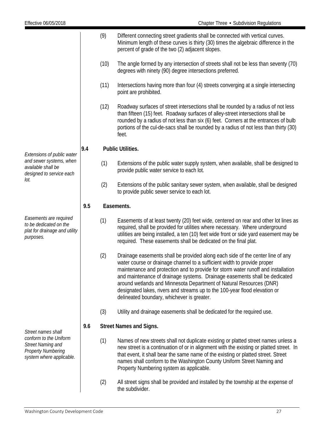(9) Different connecting street gradients shall be connected with vertical curves. Minimum length of these curves is thirty (30) times the algebraic difference in the percent of grade of the two (2) adjacent slopes. (10) The angle formed by any intersection of streets shall not be less than seventy (70) degrees with ninety (90) degree intersections preferred. (11) Intersections having more than four (4) streets converging at a single intersecting point are prohibited. (12) Roadway surfaces of street intersections shall be rounded by a radius of not less than fifteen (15) feet. Roadway surfaces of alley-street intersections shall be rounded by a radius of not less than six (6) feet. Corners at the entrances of bulb portions of the cul-de-sacs shall be rounded by a radius of not less than thirty (30) feet. *Extensions of public water and sewer systems, when available shall be designed to service each lot.* **9.4 Public Utilities.** (1) Extensions of the public water supply system, when available, shall be designed to provide public water service to each lot. (2) Extensions of the public sanitary sewer system, when available, shall be designed to provide public sewer service to each lot. *Easements are required to be dedicated on the plat for drainage and utility purposes.* **9.5 Easements.** (1) Easements of at least twenty (20) feet wide, centered on rear and other lot lines as required, shall be provided for utilities where necessary. Where underground utilities are being installed, a ten (10) feet wide front or side yard easement may be required. These easements shall be dedicated on the final plat. (2) Drainage easements shall be provided along each side of the center line of any water course or drainage channel to a sufficient width to provide proper maintenance and protection and to provide for storm water runoff and installation and maintenance of drainage systems. Drainage easements shall be dedicated around wetlands and Minnesota Department of Natural Resources (DNR) designated lakes, rivers and streams up to the 100-year flood elevation or delineated boundary, whichever is greater. (3) Utility and drainage easements shall be dedicated for the required use. *Street names shall conform to the Uniform Street Naming and Property Numbering system where applicable.* **9.6 Street Names and Signs.** (1) Names of new streets shall not duplicate existing or platted street names unless a new street is a continuation of or in alignment with the existing or platted street. In that event, it shall bear the same name of the existing or platted street. Street names shall conform to the Washington County Uniform Street Naming and Property Numbering system as applicable. (2) All street signs shall be provided and installed by the township at the expense of

the subdivider.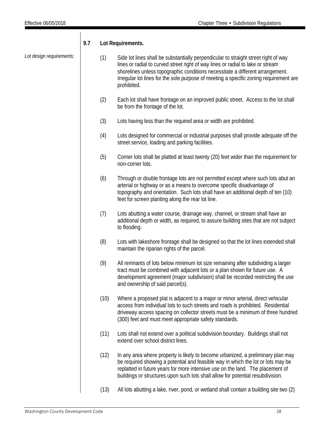## *Lot design requirements:* **9.7 Lot Requirements.** (1) Side lot lines shall be substantially perpendicular to straight street right of way lines or radial to curved street right of way lines or radial to lake or stream shorelines unless topographic conditions necessitate a different arrangement. Irregular lot lines for the sole purpose of meeting a specific zoning requirement are prohibited. (2) Each lot shall have frontage on an improved public street. Access to the lot shall be from the frontage of the lot. (3) Lots having less than the required area or width are prohibited. (4) Lots designed for commercial or industrial purposes shall provide adequate off the street service, loading and parking facilities. (5) Corner lots shall be platted at least twenty (20) feet wider than the requirement for non-corner lots. (6) Through or double frontage lots are not permitted except where such lots abut an arterial or highway or as a means to overcome specific disadvantage of topography and orientation. Such lots shall have an additional depth of ten (10) feet for screen planting along the rear lot line. (7) Lots abutting a water course, drainage way, channel, or stream shall have an additional depth or width, as required, to assure building sites that are not subject to flooding. (8) Lots with lakeshore frontage shall be designed so that the lot lines extended shall maintain the riparian rights of the parcel. (9) All remnants of lots below minimum lot size remaining after subdividing a larger tract must be combined with adjacent lots or a plan shown for future use. A development agreement (major subdivision) shall be recorded restricting the use and ownership of said parcel(s). (10) Where a proposed plat is adjacent to a major or minor arterial, direct vehicular access from individual lots to such streets and roads is prohibited. Residential driveway access spacing on collector streets must be a minimum of three hundred (300) feet and must meet appropriate safety standards. (11) Lots shall not extend over a political subdivision boundary. Buildings shall not extend over school district lines. (12) In any area where property is likely to become urbanized, a preliminary plan may be required showing a potential and feasible way in which the lot or lots may be replatted in future years for more intensive use on the land. The placement of buildings or structures upon such lots shall allow for potential resubdivision. (13) All lots abutting a lake, river, pond, or wetland shall contain a building site two (2)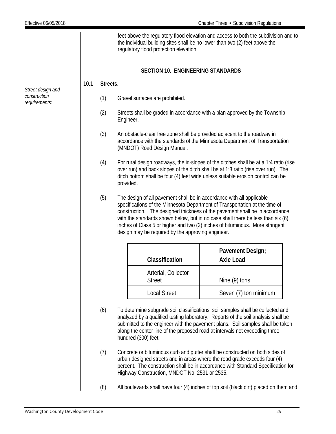feet above the regulatory flood elevation and access to both the subdivision and to the individual building sites shall be no lower than two (2) feet above the regulatory flood protection elevation.

## **SECTION 10. ENGINEERING STANDARDS**

### <span id="page-29-0"></span>**10.1 Streets.**

- (1) Gravel surfaces are prohibited.
- (2) Streets shall be graded in accordance with a plan approved by the Township Engineer.
- (3) An obstacle-clear free zone shall be provided adjacent to the roadway in accordance with the standards of the Minnesota Department of Transportation (MNDOT) Road Design Manual.
- (4) For rural design roadways, the in-slopes of the ditches shall be at a 1:4 ratio (rise over run) and back slopes of the ditch shall be at 1:3 ratio (rise over run). The ditch bottom shall be four (4) feet wide unless suitable erosion control can be provided.
- (5) The design of all pavement shall be in accordance with all applicable specifications of the Minnesota Department of Transportation at the time of construction. The designed thickness of the pavement shall be in accordance with the standards shown below, but in no case shall there be less than six (6) inches of Class 5 or higher and two (2) inches of bituminous. More stringent design may be required by the approving engineer.

| Classification                       | Pavement Design;<br><b>Axle Load</b> |
|--------------------------------------|--------------------------------------|
| Arterial, Collector<br><b>Street</b> | Nine (9) tons                        |
| <b>Local Street</b>                  | Seven (7) ton minimum                |

- (6) To determine subgrade soil classifications, soil samples shall be collected and analyzed by a qualified testing laboratory. Reports of the soil analysis shall be submitted to the engineer with the pavement plans. Soil samples shall be taken along the center line of the proposed road at intervals not exceeding three hundred (300) feet.
- (7) Concrete or bituminous curb and gutter shall be constructed on both sides of urban designed streets and in areas where the road grade exceeds four (4) percent. The construction shall be in accordance with Standard Specification for Highway Construction, MNDOT No. 2531 or 2535.
- (8) All boulevards shall have four (4) inches of top soil (black dirt) placed on them and

*Street design and construction requirements:*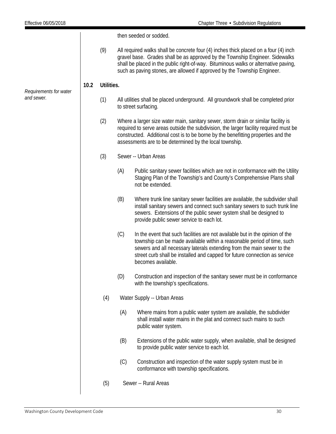then seeded or sodded.

(9) All required walks shall be concrete four (4) inches thick placed on a four (4) inch gravel base. Grades shall be as approved by the Township Engineer. Sidewalks shall be placed in the public right-of-way. Bituminous walks or alternative paving, such as paving stones, are allowed if approved by the Township Engineer.

## **10.2 Utilities.**

- (1) All utilities shall be placed underground. All groundwork shall be completed prior to street surfacing.
- (2) Where a larger size water main, sanitary sewer, storm drain or similar facility is required to serve areas outside the subdivision, the larger facility required must be constructed. Additional cost is to be borne by the benefitting properties and the assessments are to be determined by the local township.
- (3) Sewer -- Urban Areas
	- (A) Public sanitary sewer facilities which are not in conformance with the Utility Staging Plan of the Township's and County's Comprehensive Plans shall not be extended.
	- (B) Where trunk line sanitary sewer facilities are available, the subdivider shall install sanitary sewers and connect such sanitary sewers to such trunk line sewers. Extensions of the public sewer system shall be designed to provide public sewer service to each lot.
	- (C) In the event that such facilities are not available but in the opinion of the township can be made available within a reasonable period of time, such sewers and all necessary laterals extending from the main sewer to the street curb shall be installed and capped for future connection as service becomes available.
	- (D) Construction and inspection of the sanitary sewer must be in conformance with the township's specifications.
- (4) Water Supply -- Urban Areas
	- (A) Where mains from a public water system are available, the subdivider shall install water mains in the plat and connect such mains to such public water system.
	- (B) Extensions of the public water supply, when available, shall be designed to provide public water service to each lot.
	- (C) Construction and inspection of the water supply system must be in conformance with township specifications.
- (5) Sewer -- Rural Areas

*Requirements for water* 

*and sewer.*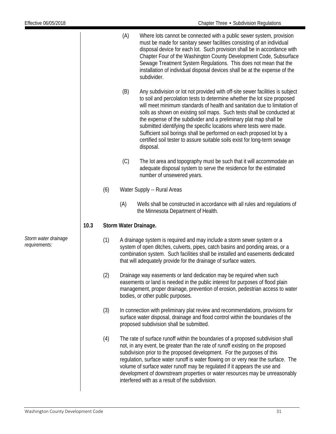|                                       |      |     | (A) | Where lots cannot be connected with a public sewer system, provision<br>must be made for sanitary sewer facilities consisting of an individual<br>disposal device for each lot. Such provision shall be in accordance with<br>Chapter Four of the Washington County Development Code, Subsurface<br>Sewage Treatment System Regulations. This does not mean that the<br>installation of individual disposal devices shall be at the expense of the<br>subdivider.                                                                                                                                                              |
|---------------------------------------|------|-----|-----|--------------------------------------------------------------------------------------------------------------------------------------------------------------------------------------------------------------------------------------------------------------------------------------------------------------------------------------------------------------------------------------------------------------------------------------------------------------------------------------------------------------------------------------------------------------------------------------------------------------------------------|
|                                       |      |     | (B) | Any subdivision or lot not provided with off-site sewer facilities is subject<br>to soil and percolation tests to determine whether the lot size proposed<br>will meet minimum standards of health and sanitation due to limitation of<br>soils as shown on existing soil maps. Such tests shall be conducted at<br>the expense of the subdivider and a preliminary plat map shall be<br>submitted identifying the specific locations where tests were made.<br>Sufficient soil borings shall be performed on each proposed lot by a<br>certified soil tester to assure suitable soils exist for long-term sewage<br>disposal. |
|                                       |      |     | (C) | The lot area and topography must be such that it will accommodate an<br>adequate disposal system to serve the residence for the estimated<br>number of unsewered years.                                                                                                                                                                                                                                                                                                                                                                                                                                                        |
|                                       |      | (6) |     | Water Supply -- Rural Areas                                                                                                                                                                                                                                                                                                                                                                                                                                                                                                                                                                                                    |
|                                       |      |     | (A) | Wells shall be constructed in accordance with all rules and regulations of<br>the Minnesota Department of Health.                                                                                                                                                                                                                                                                                                                                                                                                                                                                                                              |
|                                       | 10.3 |     |     | Storm Water Drainage.                                                                                                                                                                                                                                                                                                                                                                                                                                                                                                                                                                                                          |
| Storm water drainage<br>requirements: |      | (1) |     | A drainage system is required and may include a storm sewer system or a<br>system of open ditches, culverts, pipes, catch basins and ponding areas, or a<br>combination system. Such facilities shall be installed and easements dedicated<br>that will adequately provide for the drainage of surface waters.                                                                                                                                                                                                                                                                                                                 |
|                                       |      | (2) |     | Drainage way easements or land dedication may be required when such<br>easements or land is needed in the public interest for purposes of flood plain<br>management, proper drainage, prevention of erosion, pedestrian access to water<br>bodies, or other public purposes.                                                                                                                                                                                                                                                                                                                                                   |
|                                       |      | (3) |     | In connection with preliminary plat review and recommendations, provisions for<br>surface water disposal, drainage and flood control within the boundaries of the<br>proposed subdivision shall be submitted.                                                                                                                                                                                                                                                                                                                                                                                                                  |
|                                       |      | (4) |     | The rate of surface runoff within the boundaries of a proposed subdivision shall<br>not, in any event, be greater than the rate of runoff existing on the proposed<br>subdivision prior to the proposed development. For the purposes of this<br>regulation, surface water runoff is water flowing on or very near the surface. The<br>volume of surface water runoff may be regulated if it appears the use and<br>development of downstream properties or water resources may be unreasonably<br>interfered with as a result of the subdivision.                                                                             |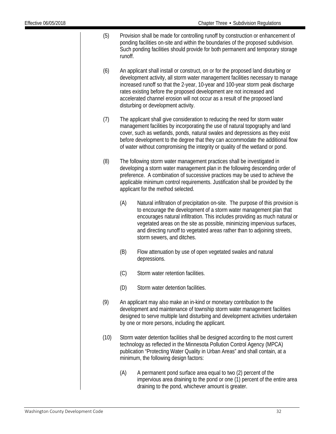- (5) Provision shall be made for controlling runoff by construction or enhancement of ponding facilities on-site and within the boundaries of the proposed subdivision. Such ponding facilities should provide for both permanent and temporary storage runoff.
- (6) An applicant shall install or construct, on or for the proposed land disturbing or development activity, all storm water management facilities necessary to manage increased runoff so that the 2-year, 10-year and 100-year storm peak discharge rates existing before the proposed development are not increased and accelerated channel erosion will not occur as a result of the proposed land disturbing or development activity.
- (7) The applicant shall give consideration to reducing the need for storm water management facilities by incorporating the use of natural topography and land cover, such as wetlands, ponds, natural swales and depressions as they exist before development to the degree that they can accommodate the additional flow of water without compromising the integrity or quality of the wetland or pond.
- (8) The following storm water management practices shall be investigated in developing a storm water management plan in the following descending order of preference. A combination of successive practices may be used to achieve the applicable minimum control requirements. Justification shall be provided by the applicant for the method selected.
	- (A) Natural infiltration of precipitation on-site. The purpose of this provision is to encourage the development of a storm water management plan that encourages natural infiltration. This includes providing as much natural or vegetated areas on the site as possible, minimizing impervious surfaces, and directing runoff to vegetated areas rather than to adjoining streets, storm sewers, and ditches.
	- (B) Flow attenuation by use of open vegetated swales and natural depressions.
	- (C) Storm water retention facilities.
	- (D) Storm water detention facilities.
- (9) An applicant may also make an in-kind or monetary contribution to the development and maintenance of township storm water management facilities designed to serve multiple land disturbing and development activities undertaken by one or more persons, including the applicant.
- (10) Storm water detention facilities shall be designed according to the most current technology as reflected in the Minnesota Pollution Control Agency (MPCA) publication "Protecting Water Quality in Urban Areas" and shall contain, at a minimum, the following design factors:
	- (A) A permanent pond surface area equal to two (2) percent of the impervious area draining to the pond or one (1) percent of the entire area draining to the pond, whichever amount is greater.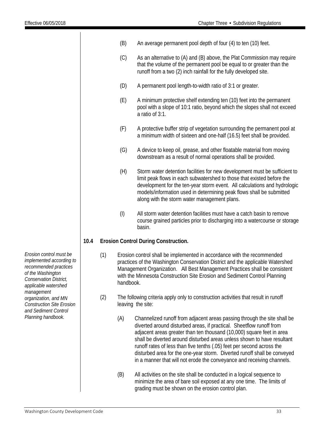|      |     | (B)       | An average permanent pool depth of four (4) to ten (10) feet.                                                                                                                                                                                                                                                                                                                                                                                                                                                                        |  |  |  |
|------|-----|-----------|--------------------------------------------------------------------------------------------------------------------------------------------------------------------------------------------------------------------------------------------------------------------------------------------------------------------------------------------------------------------------------------------------------------------------------------------------------------------------------------------------------------------------------------|--|--|--|
|      |     | (C)       | As an alternative to (A) and (B) above, the Plat Commission may require<br>that the volume of the permanent pool be equal to or greater than the<br>runoff from a two (2) inch rainfall for the fully developed site.                                                                                                                                                                                                                                                                                                                |  |  |  |
|      |     | (D)       | A permanent pool length-to-width ratio of 3:1 or greater.                                                                                                                                                                                                                                                                                                                                                                                                                                                                            |  |  |  |
|      |     | (E)       | A minimum protective shelf extending ten (10) feet into the permanent<br>pool with a slope of 10:1 ratio, beyond which the slopes shall not exceed<br>a ratio of 3:1.                                                                                                                                                                                                                                                                                                                                                                |  |  |  |
|      |     | (F)       | A protective buffer strip of vegetation surrounding the permanent pool at<br>a minimum width of sixteen and one-half (16.5) feet shall be provided.                                                                                                                                                                                                                                                                                                                                                                                  |  |  |  |
|      |     | (G)       | A device to keep oil, grease, and other floatable material from moving<br>downstream as a result of normal operations shall be provided.                                                                                                                                                                                                                                                                                                                                                                                             |  |  |  |
|      |     | (H)       | Storm water detention facilities for new development must be sufficient to<br>limit peak flows in each subwatershed to those that existed before the<br>development for the ten-year storm event. All calculations and hydrologic<br>models/information used in determining peak flows shall be submitted<br>along with the storm water management plans.                                                                                                                                                                            |  |  |  |
|      |     | $($ l $)$ | All storm water detention facilities must have a catch basin to remove<br>course grained particles prior to discharging into a watercourse or storage<br>basin.                                                                                                                                                                                                                                                                                                                                                                      |  |  |  |
| 10.4 |     |           | <b>Erosion Control During Construction.</b>                                                                                                                                                                                                                                                                                                                                                                                                                                                                                          |  |  |  |
|      | (1) | handbook. | Erosion control shall be implemented in accordance with the recommended<br>practices of the Washington Conservation District and the applicable Watershed<br>Management Organization. All Best Management Practices shall be consistent<br>with the Minnesota Construction Site Erosion and Sediment Control Planning                                                                                                                                                                                                                |  |  |  |
|      | (2) |           | The following criteria apply only to construction activities that result in runoff<br>leaving the site:                                                                                                                                                                                                                                                                                                                                                                                                                              |  |  |  |
|      |     | (A)       | Channelized runoff from adjacent areas passing through the site shall be<br>diverted around disturbed areas, if practical. Sheetflow runoff from<br>adjacent areas greater than ten thousand (10,000) square feet in area<br>shall be diverted around disturbed areas unless shown to have resultant<br>runoff rates of less than five tenths (.05) feet per second across the<br>disturbed area for the one-year storm. Diverted runoff shall be conveyed<br>in a manner that will not erode the conveyance and receiving channels. |  |  |  |

(B) All activities on the site shall be conducted in a logical sequence to minimize the area of bare soil exposed at any one time. The limits of grading must be shown on the erosion control plan.

*Erosion control must be implemented according to recommended practices of the Washington Conservation District, applicable watershed management organization, and MN Construction Site Erosion and Sediment Control Planning handbook.*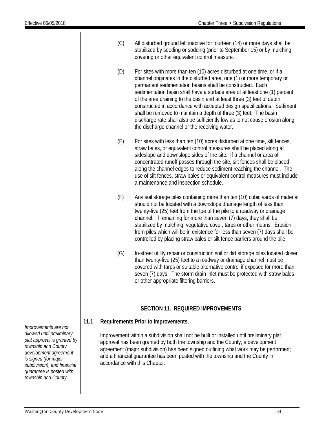- (C) All disturbed ground left inactive for fourteen (14) or more days shall be stabilized by seeding or sodding (prior to September 15) or by mulching, covering or other equivalent control measure.
- (D) For sites with more than ten (10) acres disturbed at one time, or if a channel originates in the disturbed area, one (1) or more temporary or permanent sedimentation basins shall be constructed. Each sedimentation basin shall have a surface area of at least one (1) percent of the area draining to the basin and at least three (3) feet of depth constructed in accordance with accepted design specifications. Sediment shall be removed to maintain a depth of three (3) feet. The basin discharge rate shall also be sufficiently low as to not cause erosion along the discharge channel or the receiving water.
- (E) For sites with less than ten (10) acres disturbed at one time, silt fences, straw bales, or equivalent control measures shall be placed along all sideslope and downslope sides of the site. If a channel or area of concentrated runoff passes through the site, silt fences shall be placed along the channel edges to reduce sediment reaching the channel. The use of silt fences, straw bales or equivalent control measures must include a maintenance and inspection schedule.
- (F) Any soil storage piles containing more than ten (10) cubic yards of material should not be located with a downslope drainage length of less than twenty-five (25) feet from the toe of the pile to a roadway or drainage channel. If remaining for more than seven (7) days, they shall be stabilized by mulching, vegetative cover, tarps or other means. Erosion from piles which will be in existence for less than seven (7) days shall be controlled by placing straw bales or silt fence barriers around the pile.
- (G) In-street utility repair or construction soil or dirt storage piles located closer than twenty-five (25) feet to a roadway or drainage channel must be covered with tarps or suitable alternative control if exposed for more than seven (7) days. The storm drain inlet must be protected with straw bales or other appropriate filtering barriers.

### **SECTION 11. REQUIRED IMPROVEMENTS**

<span id="page-34-0"></span>**11.1 Requirements Prior to Improvements.**

Improvement within a subdivision shall not be built or installed until preliminary plat approval has been granted by both the township and the County; a development agreement (major subdivision) has been signed outlining what work may be performed; and a financial guarantee has been posted with the township and the County in accordance with this Chapter.

*Improvements are not allowed until preliminary plat approval is granted by township and County, development agreement is signed (for major subdivision), and financial guarantee is posted with township and County.*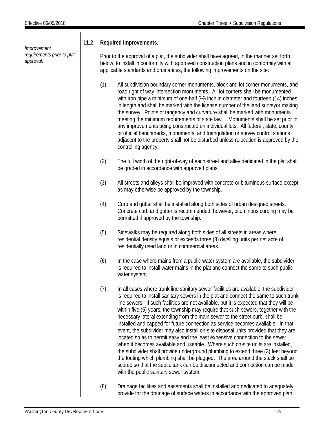*Improvement requirements prior to plat approval.*

## **11.2 Required Improvements.**

Prior to the approval of a plat, the subdivider shall have agreed, in the manner set forth below, to install in conformity with approved construction plans and in conformity with all applicable standards and ordinances, the following improvements on the site:

- (1) All subdivision boundary corner monuments, block and lot corner monuments, and road right of way intersection monuments. All lot corners shall be monumented with iron pipe a minimum of one-half (½) inch in diameter and fourteen (14) inches in length and shall be marked with the license number of the land surveyor making the survey. Points of tangency and curvature shall be marked with monuments meeting the minimum requirements of state law. Monuments shall be set prior to any improvements being constructed on individual lots. All federal, state, county or official benchmarks, monuments, and triangulation or survey control stations adjacent to the property shall not be disturbed unless relocation is approved by the controlling agency.
- (2) The full width of the right-of-way of each street and alley dedicated in the plat shall be graded in accordance with approved plans.
- (3) All streets and alleys shall be improved with concrete or bituminous surface except as may otherwise be approved by the township.
- (4) Curb and gutter shall be installed along both sides of urban designed streets. Concrete curb and gutter is recommended; however, bituminous curbing may be permitted if approved by the township.
- (5) Sidewalks may be required along both sides of all streets in areas where residential density equals or exceeds three (3) dwelling units per net acre of residentially used land or in commercial areas.
- (6) In the case where mains from a public water system are available, the subdivider is required to install water mains in the plat and connect the same to such public water system.
- (7) In all cases where trunk line sanitary sewer facilities are available, the subdivider is required to install sanitary sewers in the plat and connect the same to such trunk line sewers. If such facilities are not available, but it is expected that they will be within five (5) years, the township may require that such sewers, together with the necessary lateral extending from the main sewer to the street curb, shall be installed and capped for future connection as service becomes available. In that event, the subdivider may also install on-site disposal units provided that they are located so as to permit easy and the least expensive connection to the sewer when it becomes available and useable. Where such on-site units are installed, the subdivider shall provide underground plumbing to extend three (3) feet beyond the footing which plumbing shall be plugged. The area around the stack shall be scored so that the septic tank can be disconnected and connection can be made with the public sanitary sewer system.
- (8) Drainage facilities and easements shall be installed and dedicated to adequately provide for the drainage of surface waters in accordance with the approved plan.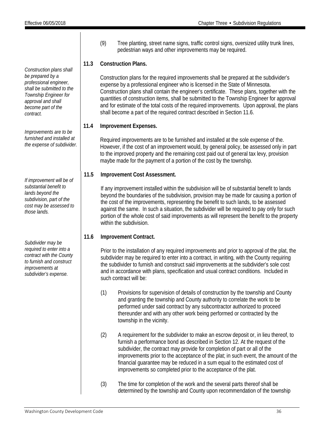*Construction plans shall be prepared by a professional engineer, shall be submitted to the Township Engineer for approval and shall become part of the contract.*

*Improvements are to be furnished and installed at the expense of subdivider.*

*If improvement will be of substantial benefit to lands beyond the subdivision, part of the cost may be assessed to those lands.*

*Subdivider may be required to enter into a contract with the County to furnish and construct improvements at subdivider's expense.*

(9) Tree planting, street name signs, traffic control signs, oversized utility trunk lines, pedestrian ways and other improvements may be required.

## **11.3 Construction Plans.**

Construction plans for the required improvements shall be prepared at the subdivider's expense by a professional engineer who is licensed in the State of Minnesota. Construction plans shall contain the engineer's certificate. These plans, together with the quantities of construction items, shall be submitted to the Township Engineer for approval and for estimate of the total costs of the required improvements. Upon approval, the plans shall become a part of the required contract described in Section 11.6.

## **11.4 Improvement Expenses.**

Required improvements are to be furnished and installed at the sole expense of the. However, if the cost of an improvement would, by general policy, be assessed only in part to the improved property and the remaining cost paid out of general tax levy, provision maybe made for the payment of a portion of the cost by the township.

## **11.5 Improvement Cost Assessment.**

If any improvement installed within the subdivision will be of substantial benefit to lands beyond the boundaries of the subdivision, provision may be made for causing a portion of the cost of the improvements, representing the benefit to such lands, to be assessed against the same. In such a situation, the subdivider will be required to pay only for such portion of the whole cost of said improvements as will represent the benefit to the property within the subdivision.

## **11.6 Improvement Contract.**

Prior to the installation of any required improvements and prior to approval of the plat, the subdivider may be required to enter into a contract, in writing, with the County requiring the subdivider to furnish and construct said improvements at the subdivider's sole cost and in accordance with plans, specification and usual contract conditions. Included in such contract will be:

- (1) Provisions for supervision of details of construction by the township and County and granting the township and County authority to correlate the work to be performed under said contract by any subcontractor authorized to proceed thereunder and with any other work being performed or contracted by the township in the vicinity.
- (2) A requirement for the subdivider to make an escrow deposit or, in lieu thereof, to furnish a performance bond as described in Section 12. At the request of the subdivider, the contract may provide for completion of part or all of the improvements prior to the acceptance of the plat; in such event, the amount of the financial guarantee may be reduced in a sum equal to the estimated cost of improvements so completed prior to the acceptance of the plat.
- (3) The time for completion of the work and the several parts thereof shall be determined by the township and County upon recommendation of the township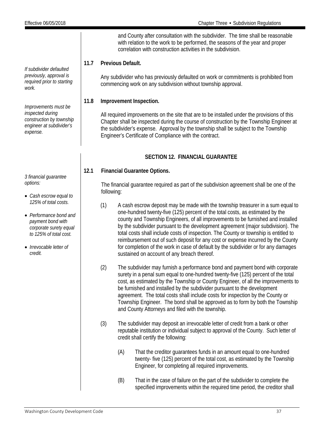*If subdivider defaulted previously, approval is required prior to starting* 

*Improvements must be inspected during construction by township engineer at subdivider's* 

*work.*

*expense.*

and County after consultation with the subdivider. The time shall be reasonable with relation to the work to be performed, the seasons of the year and proper correlation with construction activities in the subdivision.

## **11.7 Previous Default.**

Any subdivider who has previously defaulted on work or commitments is prohibited from commencing work on any subdivision without township approval.

## **11.8 Improvement Inspection.**

All required improvements on the site that are to be installed under the provisions of this Chapter shall be inspected during the course of construction by the Township Engineer at the subdivider's expense. Approval by the township shall be subject to the Township Engineer's Certificate of Compliance with the contract.

## **SECTION 12. FINANCIAL GUARANTEE**

## <span id="page-37-0"></span>**12.1 Financial Guarantee Options.**

The financial guarantee required as part of the subdivision agreement shall be one of the following:

- (1) A cash escrow deposit may be made with the township treasurer in a sum equal to one-hundred twenty-five (125) percent of the total costs, as estimated by the county and Township Engineers, of all improvements to be furnished and installed by the subdivider pursuant to the development agreement (major subdivision). The total costs shall include costs of inspection. The County or township is entitled to reimbursement out of such deposit for any cost or expense incurred by the County for completion of the work in case of default by the subdivider or for any damages sustained on account of any breach thereof.
- (2) The subdivider may furnish a performance bond and payment bond with corporate surety in a penal sum equal to one-hundred twenty-five (125) percent of the total cost, as estimated by the Township or County Engineer, of all the improvements to be furnished and installed by the subdivider pursuant to the development agreement. The total costs shall include costs for inspection by the County or Township Engineer. The bond shall be approved as to form by both the Township and County Attorneys and filed with the township.
- (3) The subdivider may deposit an irrevocable letter of credit from a bank or other reputable institution or individual subject to approval of the County. Such letter of credit shall certify the following:
	- (A) That the creditor guarantees funds in an amount equal to one-hundred twenty- five (125) percent of the total cost, as estimated by the Township Engineer, for completing all required improvements.
	- (B) That in the case of failure on the part of the subdivider to complete the specified improvements within the required time period, the creditor shall

*3 financial guarantee options:*

- *Cash escrow equal to 125% of total costs.*
- *Performance bond and payment bond with corporate surety equal to 125% of total cost.*
- *Irrevocable letter of credit.*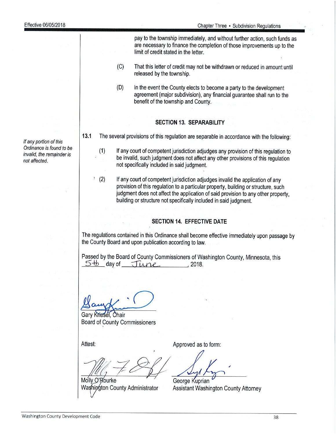pay to the township immediately, and without further action, such funds as are necessary to finance the completion of those improvements up to the limit of credit stated in the letter.  $(C)$ That this letter of credit may not be withdrawn or reduced in amount until released by the township.  $(D)$ In the event the County elects to become a party to the development agreement (major subdivision), any financial quarantee shall run to the benefit of the township and County. **SECTION 13. SEPARABILITY**  $13.1$ The several provisions of this regulation are separable in accordance with the following: If any court of competent jurisdiction adjudges any provision of this regulation to  $(1)$ be invalid, such judgment does not affect any other provisions of this regulation not specifically included in said judgment.  $(2)$ If any court of competent jurisdiction adjudges invalid the application of any provision of this regulation to a particular property, building or structure, such judgment does not affect the application of said provision to any other property. building or structure not specifically included in said judgment. **SECTION 14. EFFECTIVE DATE** The regulations contained in this Ordinance shall become effective immediately upon passage by the County Board and upon publication according to law. Passed by the Board of County Commissioners of Washington County, Minnesota, this  $5<sup>th</sup>$  day of  $June$ , 2018. Gary Kriesel, Chair **Board of County Commissioners** Attest: Approved as to form: Molly O'Rourke George Kuprian Washington County Administrator Assistant Washington County Attorney

If any portion of this Ordinance is found to be invalid, the remainder is not affected.

38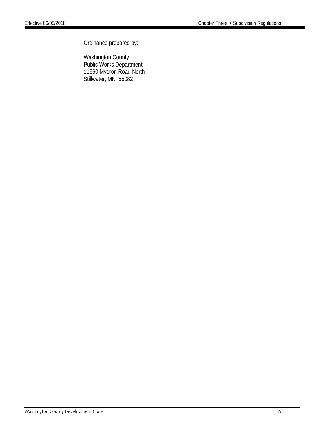Ordinance prepared by:

Washington County Public Works Department 11660 Myeron Road North Stillwater, MN 55082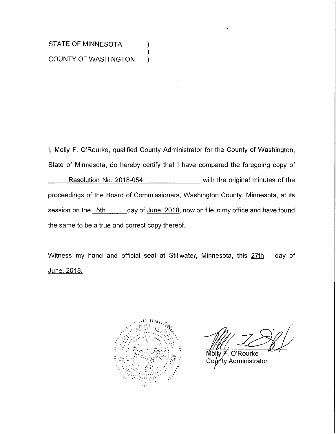## STATE OF MINNESOTA **COUNTY OF WASHINGTON**

I, Molly F. O'Rourke, qualified County Administrator for the County of Washington, State of Minnesota, do hereby certify that I have compared the foregoing copy of Resolution No. 2018-054 \_\_\_\_\_\_\_\_\_\_\_ with the original minutes of the proceedings of the Board of Commissioners, Washington County, Minnesota, at its session on the 5th \_\_\_\_\_\_ day of June, 2018, now on file in my office and have found the same to be a true and correct copy thereof.

).

Witness my hand and official seal at Stillwater, Minnesota, this 27th day of <u>June, 2018.</u>



O'Rourke Molw F ท<sub>ี</sub>ty Administrator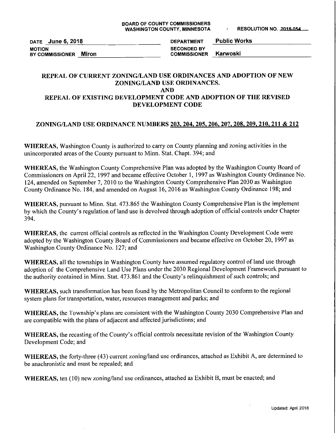DATE June 5, 2018 **MOTION** BY COMMISSIONER Miron

**Public Works DEPARTMENT SECONDED BY** Karwoski **COMMISSIONER** 

#### REPEAL OF CURRENT ZONING/LAND USE ORDINANCES AND ADOPTION OF NEW ZONING/LAND USE ORDINANCES. **AND**

## REPEAL OF EXISTING DEVELOPMENT CODE AND ADOPTION OF THE REVISED DEVELOPMENT CODE

### ZONING/LAND USE ORDINANCE NUMBERS 203, 204, 205, 206, 207, 208, 209, 210, 211 & 212

WHEREAS, Washington County is authorized to carry on County planning and zoning activities in the unincorporated areas of the County pursuant to Minn. Stat. Chapt. 394; and

WHEREAS, the Washington County Comprehensive Plan was adopted by the Washington County Board of Commissioners on April 22, 1997 and became effective October 1, 1997 as Washington County Ordinance No. 124, amended on September 7, 2010 to the Washington County Comprehensive Plan 2030 as Washington County Ordinance No. 184, and amended on August 16, 2016 as Washington County Ordinance 198; and

WHEREAS, pursuant to Minn. Stat. 473.865 the Washington County Comprehensive Plan is the implement by which the County's regulation of land use is devolved through adoption of official controls under Chapter 394.

**WHEREAS**, the current official controls as reflected in the Washington County Development Code were adopted by the Washington County Board of Commissioners and became effective on October 20, 1997 as Washington County Ordinance No. 127; and

WHEREAS, all the townships in Washington County have assumed regulatory control of land use through adoption of the Comprehensive Land Use Plans under the 2030 Regional Development Framework pursuant to the authority contained in Minn. Stat. 473.861 and the County's relinquishment of such controls; and

WHEREAS, such transformation has been found by the Metropolitan Council to conform to the regional system plans for transportation, water, resources management and parks; and

WHEREAS, the Township's plans are consistent with the Washington County 2030 Comprehensive Plan and are compatible with the plans of adjacent and affected jurisdictions; and

WHEREAS, the recasting of the County's official controls necessitate revision of the Washington County Development Code; and

WHEREAS, the forty-three (43) current zoning/land use ordinances, attached as Exhibit A, are determined to be anachronistic and must be repealed; and

WHEREAS, ten (10) new zoning/land use ordinances, attached as Exhibit B, must be enacted; and